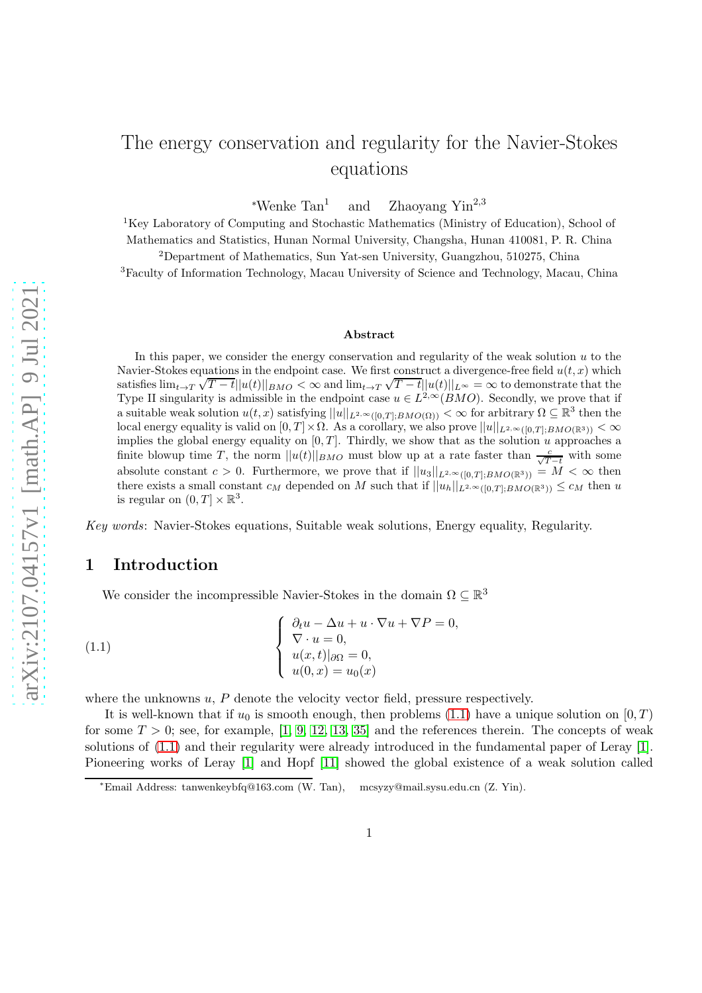# The energy conservation and regularity for the Navier-Stokes equations

<sup>∗</sup>Wenke Tan<sup>1</sup> and  $Z$ haoyang Yin<sup>2,3</sup>

<sup>1</sup>Key Laboratory of Computing and Stochastic Mathematics (Ministry of Education), School of Mathematics and Statistics, Hunan Normal University, Changsha, Hunan 410081, P. R. China

<sup>2</sup>Department of Mathematics, Sun Yat-sen University, Guangzhou, 510275, China <sup>3</sup>Faculty of Information Technology, Macau University of Science and Technology, Macau, China

#### Abstract

In this paper, we consider the energy conservation and regularity of the weak solution  $u$  to the Navier-Stokes equations in the endpoint case. We first construct a divergence-free field  $u(t, x)$  which satisfies  $\lim_{t\to T} \sqrt{T-t} ||u(t)||_{BMO} < \infty$  and  $\lim_{t\to T} \sqrt{T-t} ||u(t)||_{L^{\infty}} = \infty$  to demonstrate that the Type II singularity is admissible in the endpoint case  $u \in L^{2,\infty}(BMO)$ . Secondly, we prove that if a suitable weak solution  $u(t, x)$  satisfying  $||u||_{L^{2,\infty}([0,T];BMO(\Omega))} < \infty$  for arbitrary  $\Omega \subseteq \mathbb{R}^3$  then the local energy equality is valid on  $[0, T] \times \Omega$ . As a corollary, we also prove  $||u||_{L^{2,\infty}([0, T] \times BMO(\mathbb{R}^3))} < \infty$ implies the global energy equality on  $[0, T]$ . Thirdly, we show that as the solution u approaches a finite blowup time T, the norm  $||u(t)||_{BMO}$  must blow up at a rate faster than  $\frac{c}{\sqrt{T-t}}$  with some absolute constant  $c > 0$ . Furthermore, we prove that if  $||u_3||_{L^{2,\infty}([0,T];BMO(\mathbb{R}^3))} = M < \infty$  then there exists a small constant  $c_M$  depended on M such that if  $||u_h||_{L^{2,\infty}([0,T];BMO(\mathbb{R}^3))} \leq c_M$  then u is regular on  $(0, T] \times \mathbb{R}^3$ .

Key words: Navier-Stokes equations, Suitable weak solutions, Energy equality, Regularity.

### 1 Introduction

<span id="page-0-0"></span>We consider the incompressible Navier-Stokes in the domain  $\Omega\subseteq\mathbb{R}^3$ 

(1.1) 
$$
\begin{cases} \n\frac{\partial_t u - \Delta u + u \cdot \nabla u + \nabla P = 0, \\ \nabla \cdot u = 0, \\ \n u(x, t)|_{\partial \Omega} = 0, \\ \n u(0, x) = u_0(x) \n\end{cases}
$$

where the unknowns  $u, P$  denote the velocity vector field, pressure respectively.

It is well-known that if  $u_0$  is smooth enough, then problems [\(1.1\)](#page-0-0) have a unique solution on  $[0, T)$ for some  $T > 0$ ; see, for example, [\[1,](#page-19-0) [9,](#page-20-0) [12,](#page-20-1) [13,](#page-20-2) [35\]](#page-21-0) and the references therein. The concepts of weak solutions of [\(1.1\)](#page-0-0) and their regularity were already introduced in the fundamental paper of Leray [\[1\]](#page-19-0). Pioneering works of Leray [\[1\]](#page-19-0) and Hopf [\[11\]](#page-20-3) showed the global existence of a weak solution called

<sup>∗</sup>Email Address: tanwenkeybfq@163.com (W. Tan), mcsyzy@mail.sysu.edu.cn (Z. Yin).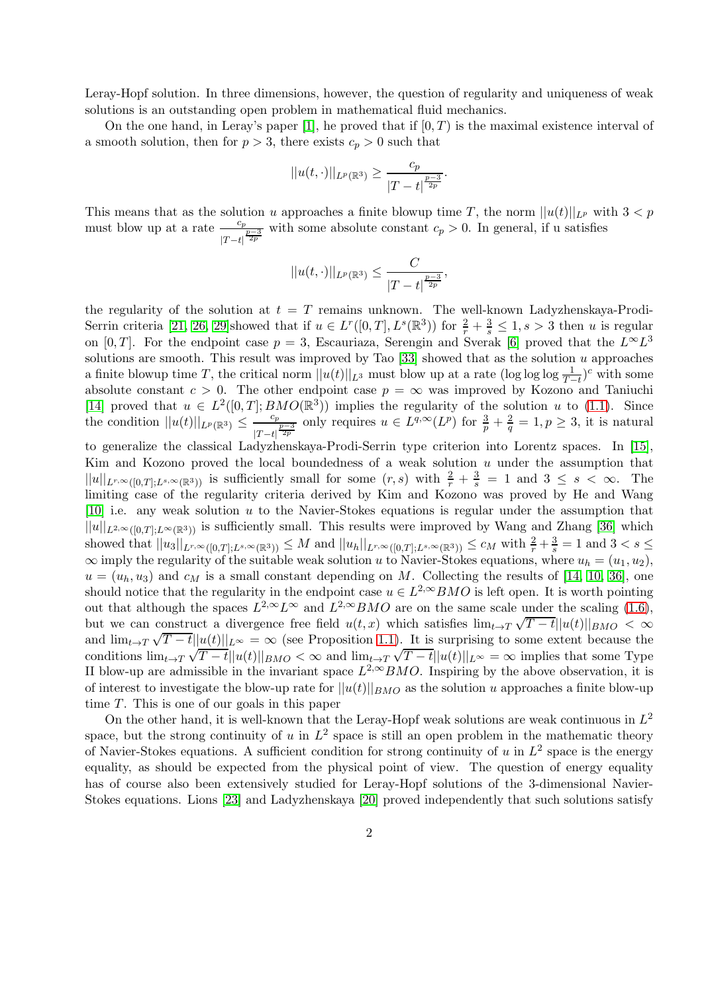Leray-Hopf solution. In three dimensions, however, the question of regularity and uniqueness of weak solutions is an outstanding open problem in mathematical fluid mechanics.

On the one hand, in Leray's paper [\[1\]](#page-19-0), he proved that if  $[0, T)$  is the maximal existence interval of a smooth solution, then for  $p > 3$ , there exists  $c_p > 0$  such that

$$
||u(t, \cdot)||_{L^p(\mathbb{R}^3)} \ge \frac{c_p}{|T-t|^{\frac{p-3}{2p}}}.
$$

This means that as the solution u approaches a finite blowup time T, the norm  $||u(t)||_{L^p}$  with  $3 < p$ must blow up at a rate  $\frac{c_p}{\sqrt{c_p}}$  $\frac{c_p}{|T-t|^{\frac{p-3}{2p}}}$  with some absolute constant  $c_p > 0$ . In general, if u satisfies

$$
||u(t, \cdot)||_{L^p(\mathbb{R}^3)} \leq \frac{C}{|T-t|^{\frac{p-3}{2p}}},
$$

the regularity of the solution at  $t = T$  remains unknown. The well-known Ladyzhenskaya-Prodi-Serrin criteria [\[21,](#page-20-4) [26,](#page-21-1) [29\]](#page-21-2)showed that if  $u \in L^r([0,T], L^s(\mathbb{R}^3))$  for  $\frac{2}{r} + \frac{3}{s} \leq 1, s > 3$  then u is regular on [0, T]. For the endpoint case  $p = 3$ , Escauriaza, Serengin and Sverak [\[6\]](#page-20-5) proved that the  $L^{\infty}L^{3}$ solutions are smooth. This result was improved by Tao  $[33]$  showed that as the solution u approaches a finite blowup time T, the critical norm  $||u(t)||_{L^3}$  must blow up at a rate  $(\log \log \log \frac{1}{T-t})^c$  with some absolute constant  $c > 0$ . The other endpoint case  $p = \infty$  was improved by Kozono and Taniuchi [\[14\]](#page-20-6) proved that  $u \in L^2([0,T]; BMO(\mathbb{R}^3))$  implies the regularity of the solution u to [\(1.1\)](#page-0-0). Since the condition  $||u(t)||_{L^p(\mathbb{R}^3)} \leq \frac{c_p}{2}$  $\frac{c_p}{|T-t|^{\frac{p-3}{2p}}}$  only requires  $u \in L^{q,\infty}(L^p)$  for  $\frac{3}{p} + \frac{2}{q} = 1, p \geq 3$ , it is natural

to generalize the classical Ladyzhenskaya-Prodi-Serrin type criterion into Lorentz spaces. In [\[15\]](#page-20-7), Kim and Kozono proved the local boundedness of a weak solution  $u$  under the assumption that  $||u||_{L^{r,\infty}([0,T];L^{s,\infty}(\mathbb{R}^3))}$  is sufficiently small for some  $(r, s)$  with  $\frac{2}{r} + \frac{3}{s} = 1$  and  $3 \leq s < \infty$ . The limiting case of the regularity criteria derived by Kim and Kozono was proved by He and Wang [\[10\]](#page-20-8) i.e. any weak solution u to the Navier-Stokes equations is regular under the assumption that  $||u||_{L^{2,\infty}([0,T];L^{\infty}(\mathbb{R}^3))}$  is sufficiently small. This results were improved by Wang and Zhang [\[36\]](#page-21-4) which showed that  $||u_3||_{L^{r,\infty}([0,T];L^{s,\infty}(\mathbb{R}^3))} \leq M$  and  $||u_h||_{L^{r,\infty}([0,T];L^{s,\infty}(\mathbb{R}^3))} \leq c_M$  with  $\frac{2}{r} + \frac{3}{s} = 1$  and  $3 < s \leq$  $\infty$  imply the regularity of the suitable weak solution u to Navier-Stokes equations, where  $u_h = (u_1, u_2)$ ,  $u = (u_h, u_3)$  and  $c_M$  is a small constant depending on M. Collecting the results of [\[14,](#page-20-6) [10,](#page-20-8) [36\]](#page-21-4), one should notice that the regularity in the endpoint case  $u \in L^{2,\infty}BMO$  is left open. It is worth pointing out that although the spaces  $L^{2,\infty}L^{\infty}$  and  $L^{2,\infty}BMO$  are on the same scale under the scaling  $(1.6)$ , but we can construct a divergence free field  $u(t,x)$  which satisfies  $\lim_{t\to T} \sqrt{T-t} ||u(t)||_{BMO} < \infty$ and  $\lim_{t\to T} \sqrt{T-t} ||u(t)||_{L^{\infty}} = \infty$  (see Proposition [1.1\)](#page-4-0). It is surprising to some extent because the conditions  $\lim_{t\to T} \sqrt{T-t} ||u(t)||_{BMO} < \infty$  and  $\lim_{t\to T} \sqrt{T-t} ||u(t)||_{L^{\infty}} = \infty$  implies that some Type II blow-up are admissible in the invariant space  $L^{2,\infty}BMO$ . Inspiring by the above observation, it is of interest to investigate the blow-up rate for  $||u(t)||_{BMO}$  as the solution u approaches a finite blow-up time T. This is one of our goals in this paper

On the other hand, it is well-known that the Leray-Hopf weak solutions are weak continuous in  $L^2$ space, but the strong continuity of u in  $L^2$  space is still an open problem in the mathematic theory of Navier-Stokes equations. A sufficient condition for strong continuity of u in  $L^2$  space is the energy equality, as should be expected from the physical point of view. The question of energy equality has of course also been extensively studied for Leray-Hopf solutions of the 3-dimensional Navier-Stokes equations. Lions [\[23\]](#page-20-9) and Ladyzhenskaya [\[20\]](#page-20-10) proved independently that such solutions satisfy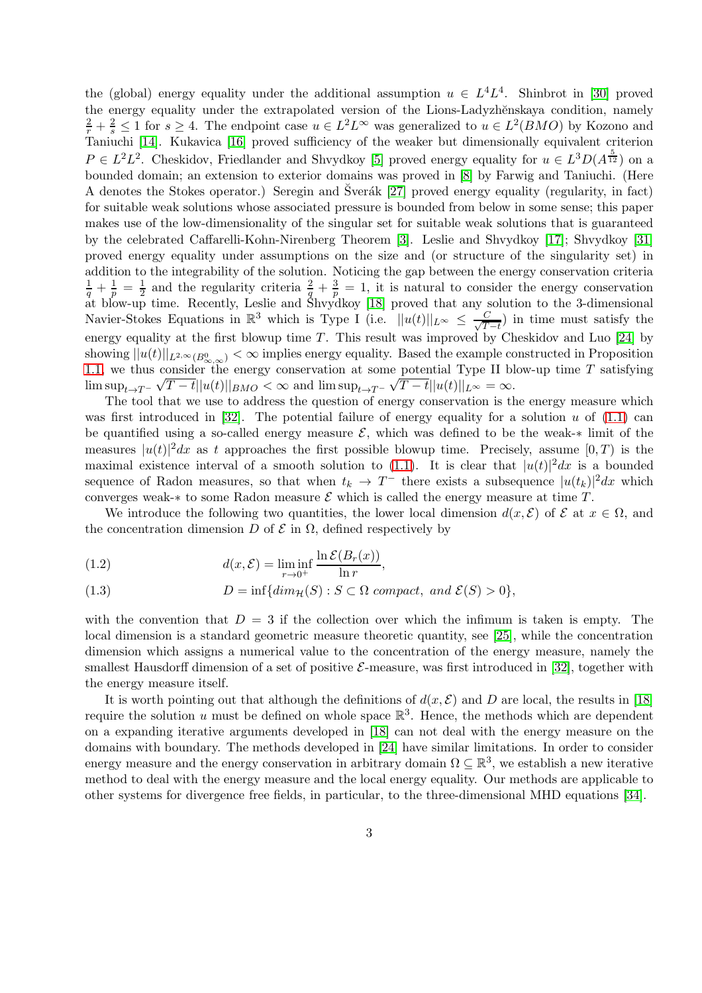the (global) energy equality under the additional assumption  $u \in L^4 L^4$ . Shinbrot in [\[30\]](#page-21-5) proved the energy equality under the extrapolated version of the Lions-Ladyzhěnskaya condition, namely  $\frac{2}{r} + \frac{2}{s} \le 1$  for  $s \ge 4$ . The endpoint case  $u \in L^2L^{\infty}$  was generalized to  $u \in L^2(BMO)$  by Kozono and Taniuchi [\[14\]](#page-20-6). Kukavica [\[16\]](#page-20-11) proved sufficiency of the weaker but dimensionally equivalent criterion  $P \in L^2L^2$ . Cheskidov, Friedlander and Shvydkoy [\[5\]](#page-19-1) proved energy equality for  $u \in L^3D(A^{\frac{5}{12}})$  on a bounded domain; an extension to exterior domains was proved in [\[8\]](#page-20-12) by Farwig and Taniuchi. (Here A denotes the Stokes operator.) Seregin and Sverák [\[27\]](#page-21-6) proved energy equality (regularity, in fact) for suitable weak solutions whose associated pressure is bounded from below in some sense; this paper makes use of the low-dimensionality of the singular set for suitable weak solutions that is guaranteed by the celebrated Caffarelli-Kohn-Nirenberg Theorem [\[3\]](#page-19-2). Leslie and Shvydkoy [\[17\]](#page-20-13); Shvydkoy [\[31\]](#page-21-7) proved energy equality under assumptions on the size and (or structure of the singularity set) in addition to the integrability of the solution. Noticing the gap between the energy conservation criteria  $\frac{1}{q} + \frac{1}{p} = \frac{1}{2}$  and the regularity criteria  $\frac{2}{q} + \frac{3}{p} = 1$ , it is natural to consider the energy conservation at blow-up time. Recently, Leslie and Shvydkoy [\[18\]](#page-20-14) proved that any solution to the 3-dimensional Navier-Stokes Equations in  $\mathbb{R}^3$  which is Type I (i.e.  $||u(t)||_{L^{\infty}} \leq \frac{C}{\sqrt{T}}$  $\frac{C}{T-t}$ ) in time must satisfy the energy equality at the first blowup time  $T$ . This result was improved by Cheskidov and Luo [\[24\]](#page-21-8) by showing  $||u(t)||_{L^{2,\infty}(B^0_{\infty,\infty})}<\infty$  implies energy equality. Based the example constructed in Proposition [1.1,](#page-4-0) we thus consider the energy conservation at some potential Type II blow-up time  $T$  satisfying  $\limsup_{t\to T^-}\sqrt{T-t}||u(t)||_{BMO}<\infty$  and  $\limsup_{t\to T^-}\sqrt{T-t}||u(t)||_{L^{\infty}}=\infty$ .

The tool that we use to address the question of energy conservation is the energy measure which was first introduced in [\[32\]](#page-21-9). The potential failure of energy equality for a solution  $u$  of [\(1.1\)](#page-0-0) can be quantified using a so-called energy measure  $\mathcal{E}$ , which was defined to be the weak- $*$  limit of the measures  $|u(t)|^2 dx$  as t approaches the first possible blowup time. Precisely, assume  $[0, T)$  is the maximal existence interval of a smooth solution to [\(1.1\)](#page-0-0). It is clear that  $|u(t)|^2 dx$  is a bounded sequence of Radon measures, so that when  $t_k \to T^-$  there exists a subsequence  $|u(t_k)|^2 dx$  which converges weak-∗ to some Radon measure  $\mathcal E$  which is called the energy measure at time T.

We introduce the following two quantities, the lower local dimension  $d(x, \mathcal{E})$  of  $\mathcal{E}$  at  $x \in \Omega$ , and the concentration dimension D of  $\mathcal E$  in  $\Omega$ , defined respectively by

(1.2) 
$$
d(x,\mathcal{E}) = \liminf_{r \to 0^+} \frac{\ln \mathcal{E}(B_r(x))}{\ln r},
$$

(1.3) 
$$
D = \inf\{dim_{\mathcal{H}}(S) : S \subset \Omega \text{ compact, and } \mathcal{E}(S) > 0\},\
$$

with the convention that  $D = 3$  if the collection over which the infimum is taken is empty. The local dimension is a standard geometric measure theoretic quantity, see [\[25\]](#page-21-10), while the concentration dimension which assigns a numerical value to the concentration of the energy measure, namely the smallest Hausdorff dimension of a set of positive  $\mathcal{E}\text{-measure}$ , was first introduced in [\[32\]](#page-21-9), together with the energy measure itself.

It is worth pointing out that although the definitions of  $d(x, \mathcal{E})$  and D are local, the results in [\[18\]](#page-20-14) require the solution u must be defined on whole space  $\mathbb{R}^3$ . Hence, the methods which are dependent on a expanding iterative arguments developed in [\[18\]](#page-20-14) can not deal with the energy measure on the domains with boundary. The methods developed in [\[24\]](#page-21-8) have similar limitations. In order to consider energy measure and the energy conservation in arbitrary domain  $\Omega \subseteq \mathbb{R}^3$ , we establish a new iterative method to deal with the energy measure and the local energy equality. Our methods are applicable to other systems for divergence free fields, in particular, to the three-dimensional MHD equations [\[34\]](#page-21-11).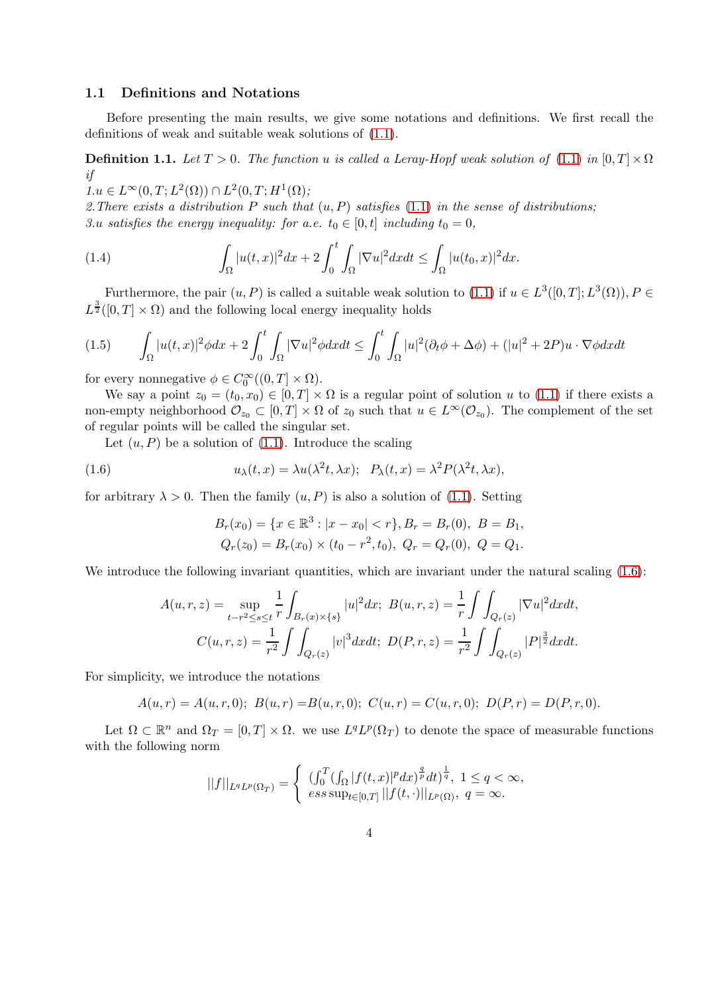### 1.1 Definitions and Notations

Before presenting the main results, we give some notations and definitions. We first recall the definitions of weak and suitable weak solutions of [\(1.1\)](#page-0-0).

**Definition 1.1.** Let  $T > 0$ . The function u is called a Leray-Hopf weak solution of [\(1.1\)](#page-0-0) in  $[0, T] \times \Omega$ if

 $1.u \in L^{\infty}(0,T; L^{2}(\Omega)) \cap L^{2}(0,T; H^{1}(\Omega));$ 

2. There exists a distribution P such that  $(u, P)$  satisfies  $(1.1)$  in the sense of distributions; 3.u satisfies the energy inequality: for a.e.  $t_0 \in [0, t]$  including  $t_0 = 0$ ,

(1.4) 
$$
\int_{\Omega} |u(t,x)|^2 dx + 2 \int_0^t \int_{\Omega} |\nabla u|^2 dx dt \leq \int_{\Omega} |u(t_0,x)|^2 dx.
$$

Furthermore, the pair  $(u, P)$  is called a suitable weak solution to  $(1.1)$  if  $u \in L^3([0, T]; L^3(\Omega)), P \in$  $L^{\frac{3}{2}}([0,T] \times \Omega)$  and the following local energy inequality holds

<span id="page-3-1"></span>
$$
(1.5) \qquad \int_{\Omega} |u(t,x)|^2 \phi dx + 2 \int_0^t \int_{\Omega} |\nabla u|^2 \phi dx dt \le \int_0^t \int_{\Omega} |u|^2 (\partial_t \phi + \Delta \phi) + (|u|^2 + 2P)u \cdot \nabla \phi dx dt
$$

for every nonnegative  $\phi \in C_0^{\infty}((0,T] \times \Omega)$ .

We say a point  $z_0 = (t_0, x_0) \in [0, T] \times \Omega$  is a regular point of solution u to [\(1.1\)](#page-0-0) if there exists a non-empty neighborhood  $\mathcal{O}_{z_0} \subset [0,T] \times \Omega$  of  $z_0$  such that  $u \in L^{\infty}(\mathcal{O}_{z_0})$ . The complement of the set of regular points will be called the singular set.

Let  $(u, P)$  be a solution of  $(1.1)$ . Introduce the scaling

<span id="page-3-0"></span>(1.6) 
$$
u_{\lambda}(t,x) = \lambda u(\lambda^{2}t,\lambda x); \quad P_{\lambda}(t,x) = \lambda^{2} P(\lambda^{2}t,\lambda x),
$$

for arbitrary  $\lambda > 0$ . Then the family  $(u, P)$  is also a solution of [\(1.1\)](#page-0-0). Setting

$$
B_r(x_0) = \{x \in \mathbb{R}^3 : |x - x_0| < r\}, B_r = B_r(0), \ B = B_1,
$$
\n
$$
Q_r(z_0) = B_r(x_0) \times (t_0 - r^2, t_0), \ Q_r = Q_r(0), \ Q = Q_1.
$$

We introduce the following invariant quantities, which are invariant under the natural scaling  $(1.6)$ :

$$
A(u,r,z) = \sup_{t-r^2 \le s \le t} \frac{1}{r} \int_{B_r(x) \times \{s\}} |u|^2 dx; \ B(u,r,z) = \frac{1}{r} \int \int_{Q_r(z)} |\nabla u|^2 dx dt,
$$
  

$$
C(u,r,z) = \frac{1}{r^2} \int \int_{Q_r(z)} |v|^3 dx dt; \ D(P,r,z) = \frac{1}{r^2} \int \int_{Q_r(z)} |P|^{\frac{3}{2}} dx dt.
$$

For simplicity, we introduce the notations

$$
A(u,r) = A(u,r,0); B(u,r) = B(u,r,0); C(u,r) = C(u,r,0); D(P,r) = D(P,r,0).
$$

Let  $\Omega \subset \mathbb{R}^n$  and  $\Omega_T = [0, T] \times \Omega$ . we use  $L^q L^p(\Omega_T)$  to denote the space of measurable functions with the following norm

$$
||f||_{L^qL^p(\Omega_T)} = \begin{cases} \left( \int_0^T (\int_{\Omega} |f(t,x)|^p dx)^{\frac{q}{p}} dt \right)^{\frac{1}{q}}, \ 1 \le q < \infty, \\ \left. \text{ess sup}_{t \in [0,T]} \left\| |f(t,\cdot)| \right\|_{L^p(\Omega)}, \ q = \infty. \end{cases}
$$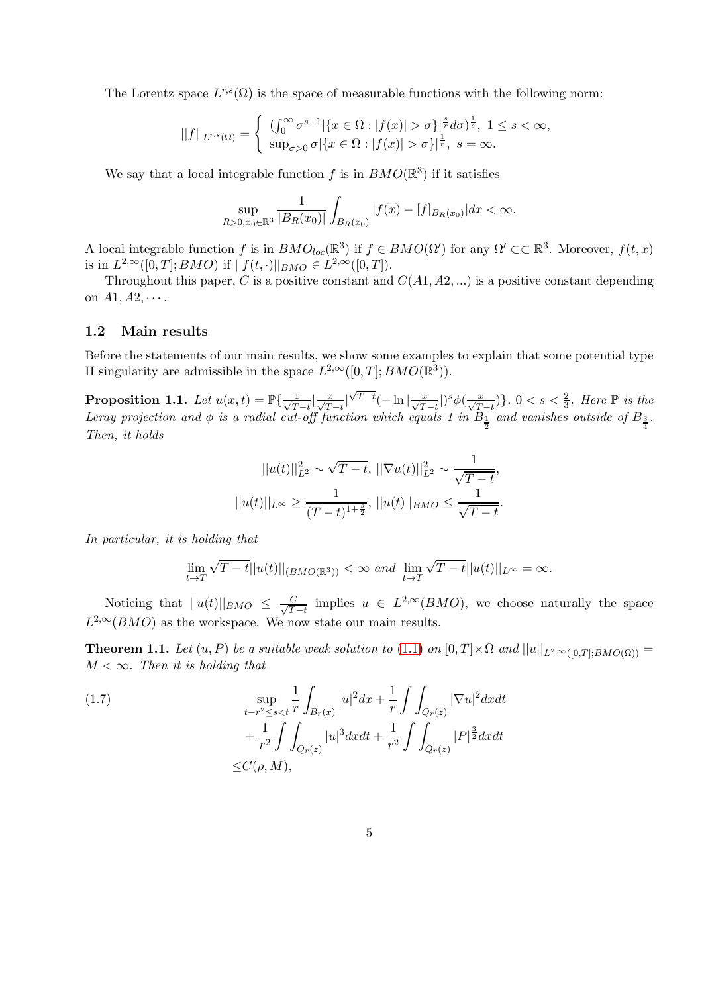The Lorentz space  $L^{r,s}(\Omega)$  is the space of measurable functions with the following norm:

$$
||f||_{L^{r,s}(\Omega)} = \begin{cases} ( \int_0^\infty \sigma^{s-1} |\{x \in \Omega : |f(x)| > \sigma\}^{\frac{s}{r}} d\sigma)^{\frac{1}{s}}, & 1 \le s < \infty, \\ \sup_{\sigma > 0} \sigma |\{x \in \Omega : |f(x)| > \sigma\}^{\frac{1}{r}}, & s = \infty. \end{cases}
$$

We say that a local integrable function f is in  $BMO(\mathbb{R}^3)$  if it satisfies

$$
\sup_{R>0, x_0\in\mathbb{R}^3} \frac{1}{|B_R(x_0)|} \int_{B_R(x_0)} |f(x) - [f]_{B_R(x_0)}| dx < \infty.
$$

A local integrable function f is in  $BMO_{loc}(\mathbb{R}^3)$  if  $f \in BMO(\Omega')$  for any  $\Omega' \subset \mathbb{R}^3$ . Moreover,  $f(t, x)$ is in  $L^{2,\infty}([0,T]; BMO)$  if  $||f(t, \cdot)||_{BMO} \in L^{2,\infty}([0,T]).$ 

Throughout this paper, C is a positive constant and  $C(A1, A2, ...)$  is a positive constant depending on  $A1, A2, \cdots$ .

#### 1.2 Main results

Before the statements of our main results, we show some examples to explain that some potential type II singularity are admissible in the space  $L^{2,\infty}([0,T]; BMO(\mathbb{R}^3))$ .

<span id="page-4-0"></span>Proposition 1.1. Let  $u(x,t) = \mathbb{P}\{\frac{1}{\sqrt{T}}\}$  $\frac{1}{T-t} \Big| \frac{x}{\sqrt{T-t}} \Big|$  $\sqrt{T-t}(-\ln|\frac{x}{\sqrt{T-t}}|)^s\phi(\frac{x}{\sqrt{T-t}})\},\ 0 < s < \frac{2}{3}$ . Here  $\mathbb P$  is the Leray projection and  $\phi$  is a radial cut-off function which equals 1 in  $B_{\frac{1}{2}}$  and vanishes outside of  $B_{\frac{3}{4}}$ . Then, it holds

$$
||u(t)||_{L^2}^2 \sim \sqrt{T-t}, ||\nabla u(t)||_{L^2}^2 \sim \frac{1}{\sqrt{T-t}},
$$
  

$$
||u(t)||_{L^\infty} \ge \frac{1}{(T-t)^{1+\frac{s}{2}}}, ||u(t)||_{BMO} \le \frac{1}{\sqrt{T-t}}.
$$

In particular, it is holding that

$$
\lim_{t\to T} \sqrt{T-t}||u(t)||_{(BMO(\mathbb{R}^3))} < \infty \text{ and } \lim_{t\to T} \sqrt{T-t}||u(t)||_{L^{\infty}} = \infty.
$$

Noticing that  $||u(t)||_{BMO} \leq \frac{C}{\sqrt{T}}$  $\frac{C}{T-t}$  implies  $u \in L^{2,\infty}(BMO)$ , we choose naturally the space  $L^{2,\infty}(BMO)$  as the workspace. We now state our main results.

<span id="page-4-1"></span>**Theorem 1.1.** Let  $(u, P)$  be a suitable weak solution to [\(1.1\)](#page-0-0) on  $[0, T] \times \Omega$  and  $||u||_{L^{2,\infty}([0,T];BMO(\Omega))} =$  $M < \infty$ . Then it is holding that

(1.7) 
$$
\sup_{t-r^2 \le s < t} \frac{1}{r} \int_{B_r(x)} |u|^2 dx + \frac{1}{r} \int \int_{Q_r(z)} |\nabla u|^2 dx dt + \frac{1}{r^2} \int \int_{Q_r(z)} |u|^3 dx dt + \frac{1}{r^2} \int \int_{Q_r(z)} |P|^{\frac{3}{2}} dx dt \le C(\rho, M),
$$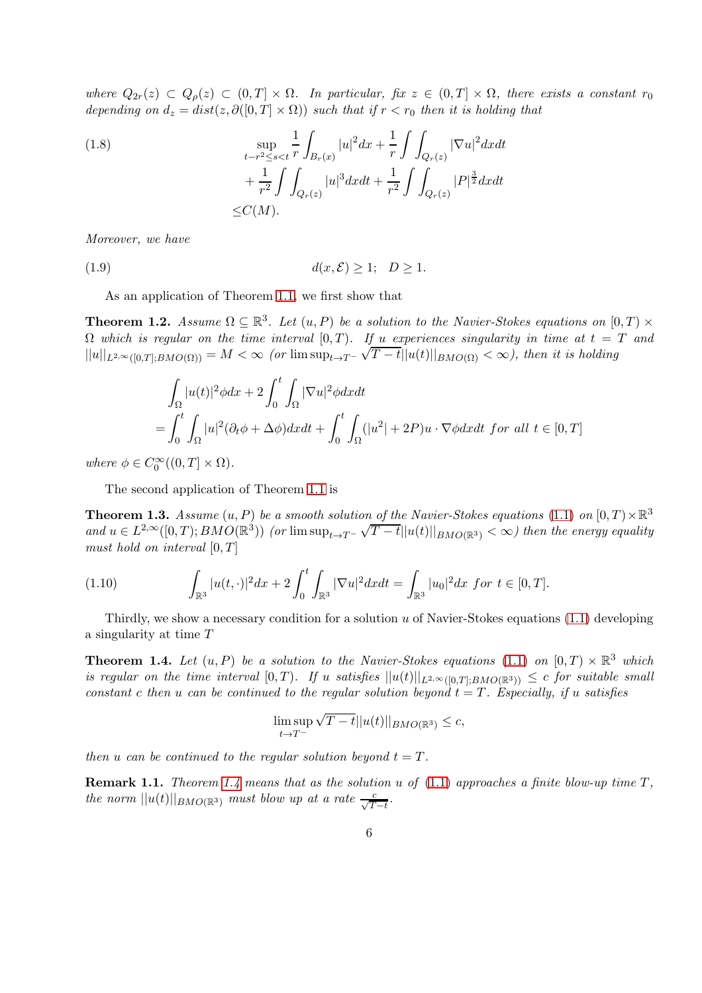where  $Q_{2r}(z) \subset Q_{\rho}(z) \subset (0,T] \times \Omega$ . In particular, fix  $z \in (0,T] \times \Omega$ , there exists a constant  $r_0$ depending on  $d_z = dist(z, \partial([0,T] \times \Omega))$  such that if  $r < r_0$  then it is holding that

(1.8)  
\n
$$
\sup_{t-r^{2} \leq s < t} \frac{1}{r} \int_{B_{r}(x)} |u|^{2} dx + \frac{1}{r} \int \int_{Q_{r}(z)} |\nabla u|^{2} dx dt
$$
\n
$$
+ \frac{1}{r^{2}} \int \int_{Q_{r}(z)} |u|^{3} dx dt + \frac{1}{r^{2}} \int \int_{Q_{r}(z)} |P|^{\frac{3}{2}} dx dt
$$
\n
$$
\leq C(M).
$$

Moreover, we have

(1.9)  $d(x, \mathcal{E}) > 1; \quad D > 1.$ 

As an application of Theorem [1.1,](#page-4-1) we first show that

<span id="page-5-2"></span>**Theorem 1.2.** Assume  $\Omega \subseteq \mathbb{R}^3$ . Let  $(u, P)$  be a solution to the Navier-Stokes equations on  $[0, T) \times$  $\Omega$  which is regular on the time interval  $[0, T)$ . If u experiences singularity in time at  $t = T$  and  $||u||_{L^{2,\infty}([0,T];BMO(\Omega))} = M < \infty$  (or  $\limsup_{t\to T^-} \sqrt{T-t}||u(t)||_{BMO(\Omega)} < \infty$ ), then it is holding

$$
\int_{\Omega} |u(t)|^2 \phi dx + 2 \int_0^t \int_{\Omega} |\nabla u|^2 \phi dx dt
$$
\n
$$
= \int_0^t \int_{\Omega} |u|^2 (\partial_t \phi + \Delta \phi) dx dt + \int_0^t \int_{\Omega} (|u^2| + 2P) u \cdot \nabla \phi dx dt \text{ for all } t \in [0, T]
$$

where  $\phi \in C_0^{\infty}((0,T] \times \Omega)$ .

The second application of Theorem [1.1](#page-4-1) is

<span id="page-5-1"></span>**Theorem 1.3.** Assume  $(u, P)$  be a smooth solution of the Navier-Stokes equations [\(1.1\)](#page-0-0) on  $[0, T) \times \mathbb{R}^3$ and  $u \in L^{2,\infty}([0,T); BMO(\mathbb{R}^3))$  (or  $\limsup_{t \to T^-} \sqrt{T-t} ||u(t)||_{BMO(\mathbb{R}^3)} < \infty$ ) then the energy equality must hold on interval  $[0, T]$ 

(1.10) 
$$
\int_{\mathbb{R}^3} |u(t, \cdot)|^2 dx + 2 \int_0^t \int_{\mathbb{R}^3} |\nabla u|^2 dx dt = \int_{\mathbb{R}^3} |u_0|^2 dx \text{ for } t \in [0, T].
$$

Thirdly, we show a necessary condition for a solution  $u$  of Navier-Stokes equations [\(1.1\)](#page-0-0) developing a singularity at time T

<span id="page-5-0"></span>**Theorem 1.4.** Let  $(u, P)$  be a solution to the Navier-Stokes equations [\(1.1\)](#page-0-0) on  $[0, T) \times \mathbb{R}^3$  which is regular on the time interval  $[0, T)$ . If u satisfies  $||u(t)||_{L^{2,\infty}([0, T]: BMO(\mathbb{R}^3))} \leq c$  for suitable small constant c then u can be continued to the regular solution beyond  $t = T$ . Especially, if u satisfies

$$
\limsup_{t\to T^-} \sqrt{T-t} ||u(t)||_{BMO(\mathbb{R}^3)}\leq c,
$$

then u can be continued to the regular solution beyond  $t = T$ .

**Remark 1.1.** Theorem [1.4](#page-5-0) means that as the solution u of  $(1.1)$  approaches a finite blow-up time  $T$ , the norm  $||u(t)||_{BMO(\mathbb{R}^3)}$  must blow up at a rate  $\frac{c}{\sqrt{T-t}}$ .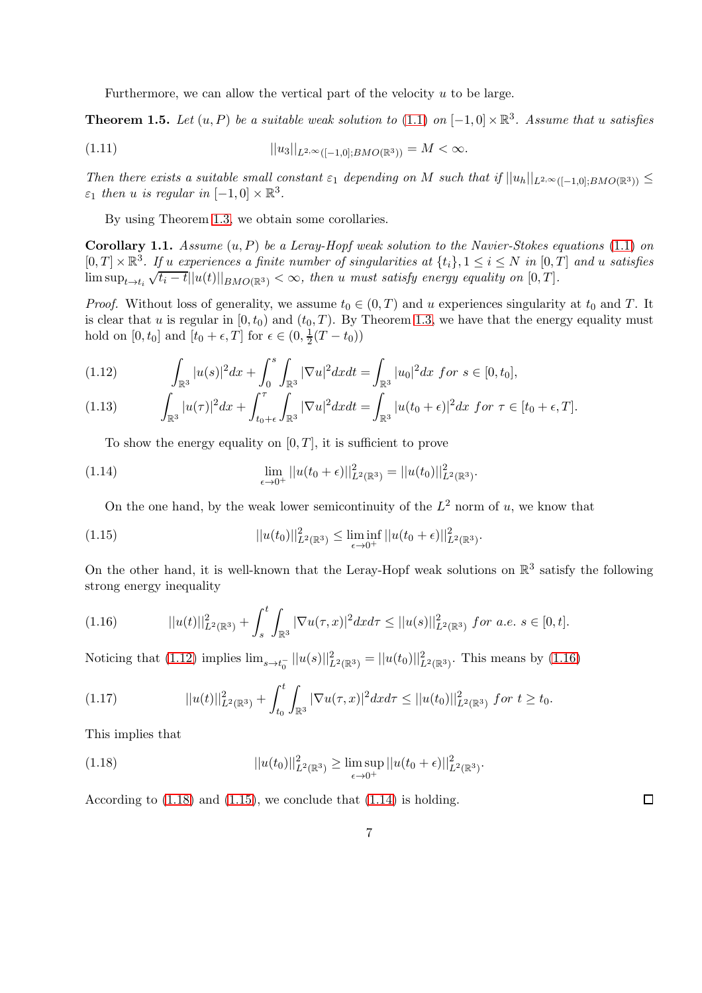Furthermore, we can allow the vertical part of the velocity  $u$  to be large.

<span id="page-6-6"></span>**Theorem 1.5.** Let  $(u, P)$  be a suitable weak solution to  $(1.1)$  on  $[-1, 0] \times \mathbb{R}^3$ . Assume that u satisfies

(1.11) 
$$
||u_3||_{L^{2,\infty}([-1,0];BMO(\mathbb{R}^3))} = M < \infty.
$$

Then there exists a suitable small constant  $\varepsilon_1$  depending on M such that if  $||u_h||_{L^{2,\infty}([-1,0]:BMO(\mathbb{R}^3))} \le$  $\varepsilon_1$  then u is regular in  $[-1,0] \times \mathbb{R}^3$ .

By using Theorem [1.3,](#page-5-1) we obtain some corollaries.

<span id="page-6-5"></span>**Corollary 1.1.** Assume  $(u, P)$  be a Leray-Hopf weak solution to the Navier-Stokes equations [\(1.1\)](#page-0-0) on  $[0,T] \times \mathbb{R}^3$ . If u experiences a finite number of singularities at  $\{t_i\}$ ,  $1 \le i \le N$  in  $[0,T]$  and u satisfies  $\limsup_{t\to t_i}\sqrt{t_i-t}||u(t)||_{BMO(\mathbb{R}^3)} < \infty$ , then u must satisfy energy equality on  $[0,T]$ .

*Proof.* Without loss of generality, we assume  $t_0 \in (0, T)$  and u experiences singularity at  $t_0$  and T. It is clear that u is regular in  $[0, t_0)$  and  $(t_0, T)$ . By Theorem [1.3,](#page-5-1) we have that the energy equality must hold on  $[0, t_0]$  and  $[t_0 + \epsilon, T]$  for  $\epsilon \in (0, \frac{1}{2})$  $rac{1}{2}(T-t_0))$ 

<span id="page-6-0"></span>(1.12) 
$$
\int_{\mathbb{R}^3} |u(s)|^2 dx + \int_0^s \int_{\mathbb{R}^3} |\nabla u|^2 dx dt = \int_{\mathbb{R}^3} |u_0|^2 dx \text{ for } s \in [0, t_0],
$$

$$
(1.13) \qquad \int_{\mathbb{R}^3} |u(\tau)|^2 dx + \int_{t_0 + \epsilon}^{\tau} \int_{\mathbb{R}^3} |\nabla u|^2 dx dt = \int_{\mathbb{R}^3} |u(t_0 + \epsilon)|^2 dx \text{ for } \tau \in [t_0 + \epsilon, T].
$$

To show the energy equality on  $[0, T]$ , it is sufficient to prove

<span id="page-6-4"></span>(1.14) 
$$
\lim_{\epsilon \to 0^+} ||u(t_0 + \epsilon)||^2_{L^2(\mathbb{R}^3)} = ||u(t_0)||^2_{L^2(\mathbb{R}^3)}.
$$

On the one hand, by the weak lower semicontinuity of the  $L^2$  norm of u, we know that

<span id="page-6-3"></span>(1.15) 
$$
||u(t_0)||_{L^2(\mathbb{R}^3)}^2 \leq \liminf_{\epsilon \to 0^+} ||u(t_0 + \epsilon)||_{L^2(\mathbb{R}^3)}^2.
$$

On the other hand, it is well-known that the Leray-Hopf weak solutions on  $\mathbb{R}^3$  satisfy the following strong energy inequality

<span id="page-6-1"></span>
$$
(1.16) \t\t ||u(t)||_{L^{2}(\mathbb{R}^{3})}^{2} + \int_{s}^{t} \int_{\mathbb{R}^{3}} |\nabla u(\tau,x)|^{2} dx d\tau \leq ||u(s)||_{L^{2}(\mathbb{R}^{3})}^{2} \text{ for a.e. } s \in [0,t].
$$

Noticing that [\(1.12\)](#page-6-0) implies  $\lim_{s \to t_0^-} ||u(s)||^2_{L^2(\mathbb{R}^3)} = ||u(t_0)||^2_{L^2(\mathbb{R}^3)}$ . This means by [\(1.16\)](#page-6-1)

$$
(1.17) \t\t ||u(t)||_{L^{2}(\mathbb{R}^{3})}^{2} + \int_{t_{0}}^{t} \int_{\mathbb{R}^{3}} |\nabla u(\tau,x)|^{2} dx d\tau \leq ||u(t_{0})||_{L^{2}(\mathbb{R}^{3})}^{2} \text{ for } t \geq t_{0}.
$$

This implies that

<span id="page-6-2"></span>(1.18) 
$$
||u(t_0)||_{L^2(\mathbb{R}^3)}^2 \geq \limsup_{\epsilon \to 0^+} ||u(t_0 + \epsilon)||_{L^2(\mathbb{R}^3)}^2.
$$

According to [\(1.18\)](#page-6-2) and [\(1.15\)](#page-6-3), we conclude that [\(1.14\)](#page-6-4) is holding.

 $\Box$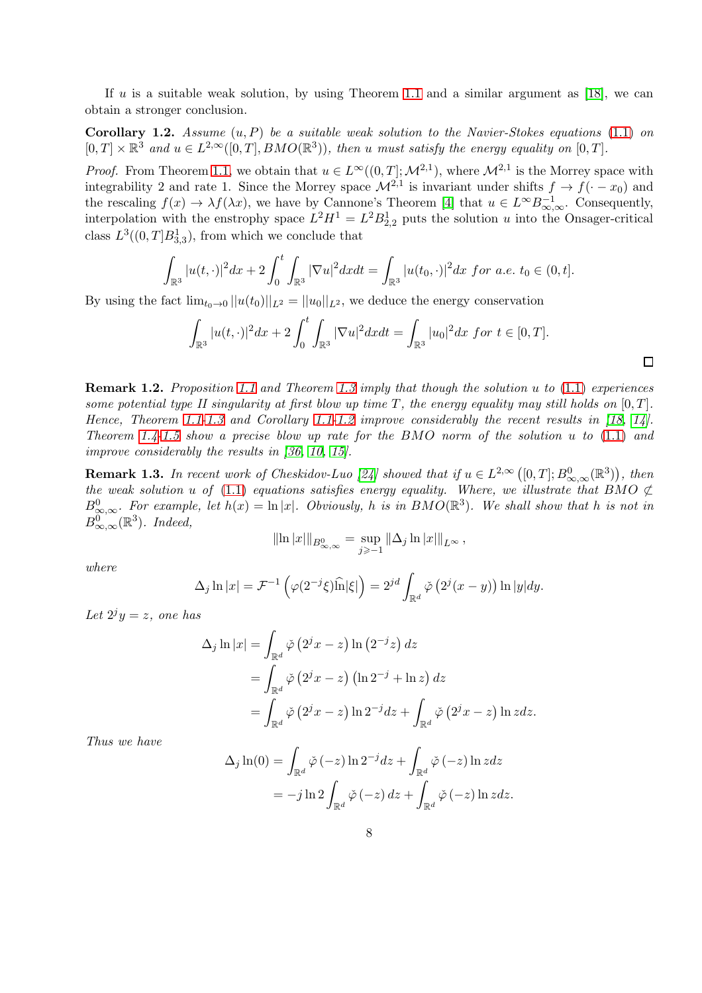If u is a suitable weak solution, by using Theorem [1.1](#page-4-1) and a similar argument as [\[18\]](#page-20-14), we can obtain a stronger conclusion.

<span id="page-7-0"></span>**Corollary 1.2.** Assume  $(u, P)$  be a suitable weak solution to the Navier-Stokes equations [\(1.1\)](#page-0-0) on  $[0, T] \times \mathbb{R}^3$  and  $u \in L^{2,\infty}([0,T], BMO(\mathbb{R}^3))$ , then u must satisfy the energy equality on  $[0, T]$ .

*Proof.* From Theorem [1.1,](#page-4-1) we obtain that  $u \in L^{\infty}((0, T]; \mathcal{M}^{2,1})$ , where  $\mathcal{M}^{2,1}$  is the Morrey space with integrability 2 and rate 1. Since the Morrey space  $\mathcal{M}^{2,1}$  is invariant under shifts  $f \to f(-x_0)$  and the rescaling  $f(x) \to \lambda f(\lambda x)$ , we have by Cannone's Theorem [\[4\]](#page-19-3) that  $u \in L^{\infty} B_{\infty,\infty}^{-1}$ . Consequently, interpolation with the enstrophy space  $L^2H^1 = L^2B_{2,2}^1$  puts the solution u into the Onsager-critical class  $L^3((0,T]B_{3,3}^1)$ , from which we conclude that

$$
\int_{\mathbb{R}^3} |u(t,\cdot)|^2 dx + 2 \int_0^t \int_{\mathbb{R}^3} |\nabla u|^2 dx dt = \int_{\mathbb{R}^3} |u(t_0,\cdot)|^2 dx \text{ for a.e. } t_0 \in (0,t].
$$

By using the fact  $\lim_{t_0\to 0}||u(t_0)||_{L^2} = ||u_0||_{L^2}$ , we deduce the energy conservation

$$
\int_{\mathbb{R}^3} |u(t, \cdot)|^2 dx + 2 \int_0^t \int_{\mathbb{R}^3} |\nabla u|^2 dx dt = \int_{\mathbb{R}^3} |u_0|^2 dx \text{ for } t \in [0, T].
$$

**Remark 1.2.** Proposition [1.1](#page-4-0) and Theorem [1.3](#page-5-1) imply that though the solution u to  $(1.1)$  experiences some potential type II singularity at first blow up time T, the energy equality may still holds on  $[0, T]$ . Hence, Theorem [1.1-](#page-4-1)[1.3](#page-5-1) and Corollary [1.1](#page-6-5)[-1.2](#page-7-0) improve considerably the recent results in  $[18, 14]$  $[18, 14]$ . Theorem [1.4](#page-5-0)[-1.5](#page-6-6) show a precise blow up rate for the BMO norm of the solution  $u$  to  $(1.1)$  and improve considerably the results in [\[36,](#page-21-4) [10,](#page-20-8) [15\]](#page-20-7).

**Remark 1.3.** In recent work of Cheskidov-Luo [\[24\]](#page-21-8) showed that if  $u \in L^{2,\infty}([0,T];B^0_{\infty,\infty}(\mathbb{R}^3))$ , then the weak solution u of [\(1.1\)](#page-0-0) equations satisfies energy equality. Where, we illustrate that BMO  $\not\subset$  $B_{\infty,\infty}^0$ . For example, let  $h(x) = \ln |x|$ . Obviously, h is in  $BMO(\mathbb{R}^3)$ . We shall show that h is not in  $B^0_{\infty,\infty}(\mathbb{R}^3)$ . Indeed,

$$
\|\ln |x|\|_{B^{0}_{\infty,\infty}} = \sup_{j\geq 1} \|\Delta_j \ln |x|\|_{L^{\infty}},
$$

where

$$
\Delta_j \ln|x| = \mathcal{F}^{-1}\left(\varphi(2^{-j}\xi)\widehat{\ln}|\xi|\right) = 2^{jd} \int_{\mathbb{R}^d} \check{\varphi}\left(2^j(x-y)\right) \ln|y| dy.
$$

Let  $2^j y = z$ , one has

$$
\Delta_j \ln |x| = \int_{\mathbb{R}^d} \check{\varphi} (2^j x - z) \ln (2^{-j} z) dz
$$
  
= 
$$
\int_{\mathbb{R}^d} \check{\varphi} (2^j x - z) (\ln 2^{-j} + \ln z) dz
$$
  
= 
$$
\int_{\mathbb{R}^d} \check{\varphi} (2^j x - z) \ln 2^{-j} dz + \int_{\mathbb{R}^d} \check{\varphi} (2^j x - z) \ln z dz.
$$

Thus we have

$$
\Delta_j \ln(0) = \int_{\mathbb{R}^d} \check{\varphi}(-z) \ln 2^{-j} dz + \int_{\mathbb{R}^d} \check{\varphi}(-z) \ln z dz
$$
  
=  $-j \ln 2 \int_{\mathbb{R}^d} \check{\varphi}(-z) dz + \int_{\mathbb{R}^d} \check{\varphi}(-z) \ln z dz.$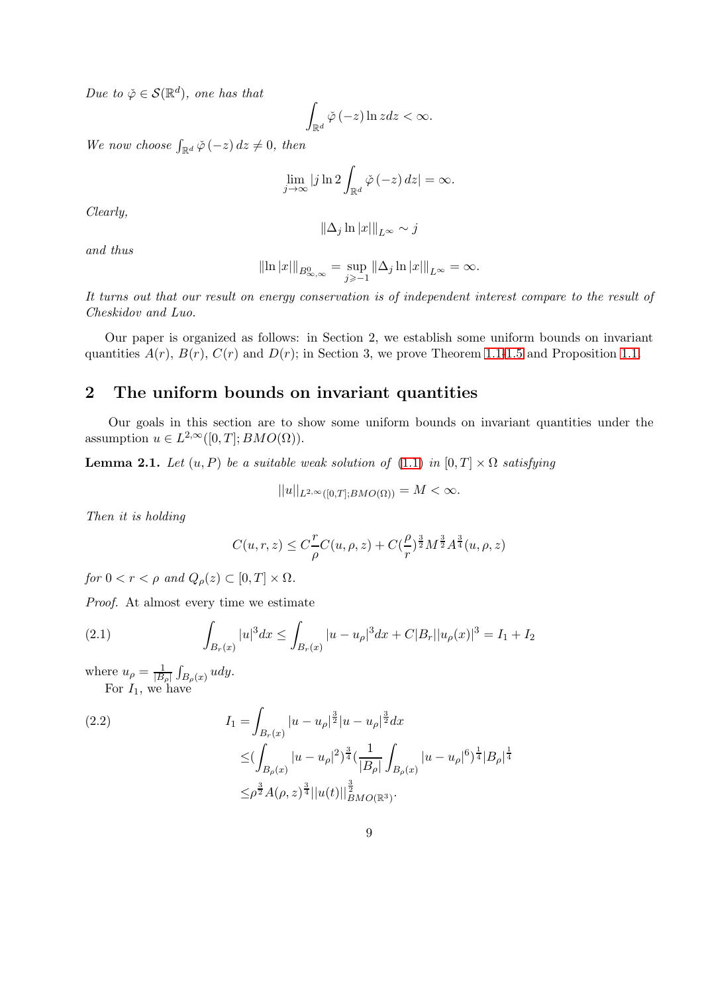Due to  $\check{\varphi} \in \mathcal{S}(\mathbb{R}^d)$ , one has that

$$
\int_{\mathbb{R}^d} \check{\varphi}\,(-z) \ln z \, dz < \infty.
$$

We now choose  $\int_{\mathbb{R}^d} \check{\varphi}(-z) dz \neq 0$ , then

$$
\lim_{j \to \infty} |j \ln 2 \int_{\mathbb{R}^d} \check{\varphi}(-z) \, dz| = \infty.
$$

Clearly,

$$
\|\Delta_j \ln |x|\|_{L^\infty} \sim j
$$

and thus

$$
\|\ln |x|\|_{B^{0}_{\infty,\infty}} = \sup_{j\geq 1} \|\Delta_j \ln |x|\|_{L^{\infty}} = \infty.
$$

It turns out that our result on energy conservation is of independent interest compare to the result of Cheskidov and Luo.

Our paper is organized as follows: in Section 2, we establish some uniform bounds on invariant quantities  $A(r)$ ,  $B(r)$ ,  $C(r)$  and  $D(r)$ ; in Section 3, we prove Theorem [1.1-](#page-4-1)[1.5](#page-6-6) and Proposition [1.1.](#page-4-0)

### 2 The uniform bounds on invariant quantities

Our goals in this section are to show some uniform bounds on invariant quantities under the assumption  $u \in L^{2,\infty}([0,T]; BMO(\Omega)).$ 

<span id="page-8-0"></span>**Lemma 2.1.** Let  $(u, P)$  be a suitable weak solution of  $(1.1)$  in  $[0, T] \times \Omega$  satisfying

$$
||u||_{L^{2,\infty}([0,T];BMO(\Omega))}=M<\infty.
$$

Then it is holding

$$
C(u,r,z) \leq C \frac{r}{\rho} C(u,\rho,z) + C(\frac{\rho}{r})^{\frac{3}{2}} M^{\frac{3}{2}} A^{\frac{3}{4}}(u,\rho,z)
$$

for  $0 < r < \rho$  and  $Q_{\rho}(z) \subset [0, T] \times \Omega$ .

Proof. At almost every time we estimate

(2.1) 
$$
\int_{B_r(x)} |u|^3 dx \le \int_{B_r(x)} |u - u_\rho|^3 dx + C|B_r||u_\rho(x)|^3 = I_1 + I_2
$$

where  $u_{\rho} = \frac{1}{|B_{\rho}|}$  $\int_{B_{\rho}(x)} u dy.$ For  $I_1$ , we have

(2.2)  
\n
$$
I_{1} = \int_{B_{r}(x)} |u - u_{\rho}|^{\frac{3}{2}} |u - u_{\rho}|^{\frac{3}{2}} dx
$$
\n
$$
\leq \left( \int_{B_{\rho}(x)} |u - u_{\rho}|^{2} \right)^{\frac{3}{4}} \left( \frac{1}{|B_{\rho}|} \int_{B_{\rho}(x)} |u - u_{\rho}|^{6} \right)^{\frac{1}{4}} |B_{\rho}|^{\frac{1}{4}}
$$
\n
$$
\leq \rho^{\frac{3}{2}} A(\rho, z)^{\frac{3}{4}} ||u(t)||^{\frac{3}{2}}_{BMO(\mathbb{R}^{3})}.
$$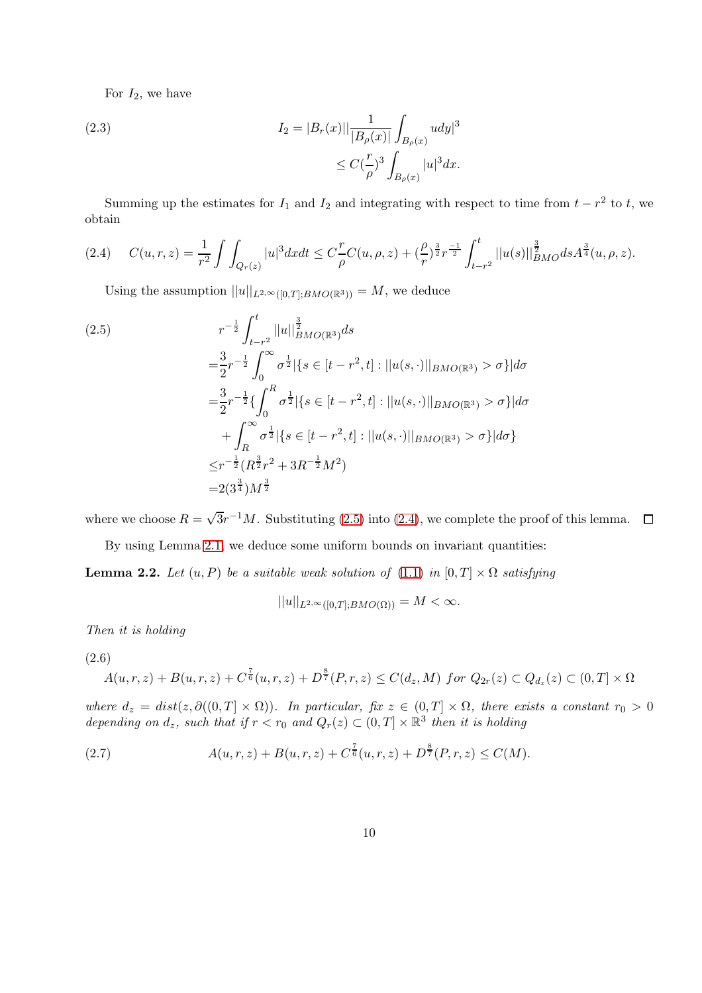For  $I_2$ , we have

(2.3) 
$$
I_2 = |B_r(x)|| \frac{1}{|B_\rho(x)|} \int_{B_\rho(x)} u dy|^3
$$

$$
\leq C(\frac{r}{\rho})^3 \int_{B_\rho(x)} |u|^3 dx.
$$

Summing up the estimates for  $I_1$  and  $I_2$  and integrating with respect to time from  $t - r^2$  to t, we obtain

<span id="page-9-1"></span>
$$
(2.4) \tC(u,r,z) = \frac{1}{r^2} \int \int_{Q_r(z)} |u|^3 dx dt \leq C \frac{r}{\rho} C(u,\rho,z) + (\frac{\rho}{r})^{\frac{3}{2}} r^{\frac{-1}{2}} \int_{t-r^2}^t ||u(s)||_{BMO}^{\frac{3}{2}} ds A^{\frac{3}{4}}(u,\rho,z).
$$

Using the assumption  $||u||_{L^{2,\infty}([0,T];BMO(\mathbb{R}^3))} = M$ , we deduce

<span id="page-9-0"></span>
$$
(2.5)
$$
\n
$$
r^{-\frac{1}{2}} \int_{t-r^2}^t ||u||_{BMO(\mathbb{R}^3)}^{\frac{3}{2}} ds
$$
\n
$$
= \frac{3}{2} r^{-\frac{1}{2}} \int_0^\infty \sigma^{\frac{1}{2}} |\{s \in [t-r^2, t] : ||u(s, \cdot)||_{BMO(\mathbb{R}^3)} > \sigma\} | d\sigma
$$
\n
$$
= \frac{3}{2} r^{-\frac{1}{2}} \{ \int_0^R \sigma^{\frac{1}{2}} |\{s \in [t-r^2, t] : ||u(s, \cdot)||_{BMO(\mathbb{R}^3)} > \sigma\} | d\sigma
$$
\n
$$
+ \int_R^\infty \sigma^{\frac{1}{2}} |\{s \in [t-r^2, t] : ||u(s, \cdot)||_{BMO(\mathbb{R}^3)} > \sigma\} | d\sigma \}
$$
\n
$$
\leq r^{-\frac{1}{2}} (R^{\frac{3}{2}} r^2 + 3R^{-\frac{1}{2}} M^2)
$$
\n
$$
= 2(3^{\frac{3}{4}}) M^{\frac{3}{2}}
$$

where we choose  $R = \sqrt{3}r^{-1}M$ . Substituting [\(2.5\)](#page-9-0) into [\(2.4\)](#page-9-1), we complete the proof of this lemma.

By using Lemma [2.1,](#page-8-0) we deduce some uniform bounds on invariant quantities:

<span id="page-9-4"></span>**Lemma 2.2.** Let  $(u, P)$  be a suitable weak solution of  $(1.1)$  in  $[0, T] \times \Omega$  satisfying

$$
||u||_{L^{2,\infty}([0,T];BMO(\Omega))}=M<\infty.
$$

Then it is holding

<span id="page-9-2"></span>(2.6)

$$
A(u,r,z) + B(u,r,z) + C^{\frac{7}{6}}(u,r,z) + D^{\frac{8}{7}}(P,r,z) \leq C(d_z,M) \text{ for } Q_{2r}(z) \subset Q_{d_z}(z) \subset (0,T] \times \Omega
$$

where  $d_z = dist(z, \partial((0,T] \times \Omega))$ . In particular, fix  $z \in (0,T] \times \Omega$ , there exists a constant  $r_0 > 0$ depending on  $d_z$ , such that if  $r < r_0$  and  $Q_r(z) \subset (0, T] \times \mathbb{R}^3$  then it is holding

<span id="page-9-3"></span>(2.7) 
$$
A(u,r,z) + B(u,r,z) + C^{\frac{7}{6}}(u,r,z) + D^{\frac{8}{7}}(P,r,z) \leq C(M).
$$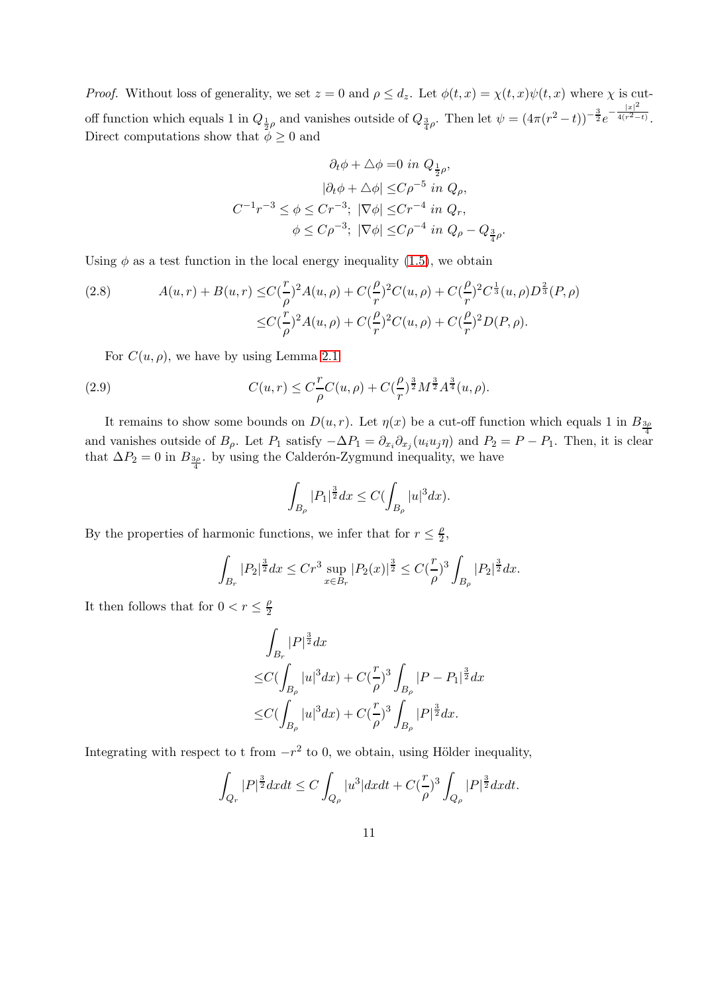*Proof.* Without loss of generality, we set  $z = 0$  and  $\rho \leq d_z$ . Let  $\phi(t, x) = \chi(t, x)\psi(t, x)$  where  $\chi$  is cutoff function which equals 1 in  $Q_{\frac{1}{2}\rho}$  and vanishes outside of  $Q_{\frac{3}{4}\rho}$ . Then let  $\psi = (4\pi(r^2 - t))^{-\frac{3}{2}}e^{-\frac{|x|^2}{4(r^2 - t)}}$  $\sqrt{4(r^2-t)}$ . Direct computations show that  $\phi \geq 0$  and

$$
\partial_t \phi + \Delta \phi = 0 \text{ in } Q_{\frac{1}{2}\rho},
$$

$$
|\partial_t \phi + \Delta \phi| \leq C\rho^{-5} \text{ in } Q_\rho,
$$

$$
C^{-1}r^{-3} \leq \phi \leq Cr^{-3}; \ |\nabla \phi| \leq Cr^{-4} \text{ in } Q_r,
$$

$$
\phi \leq C\rho^{-3}; \ |\nabla \phi| \leq C\rho^{-4} \text{ in } Q_\rho - Q_{\frac{3}{4}\rho}.
$$

Using  $\phi$  as a test function in the local energy inequality [\(1.5\)](#page-3-1), we obtain

<span id="page-10-1"></span>(2.8) 
$$
A(u,r) + B(u,r) \leq C \left(\frac{r}{\rho}\right)^2 A(u,\rho) + C \left(\frac{\rho}{r}\right)^2 C(u,\rho) + C \left(\frac{\rho}{r}\right)^2 C^{\frac{1}{3}}(u,\rho) D^{\frac{2}{3}}(P,\rho)
$$

$$
\leq C \left(\frac{r}{\rho}\right)^2 A(u,\rho) + C \left(\frac{\rho}{r}\right)^2 C(u,\rho) + C \left(\frac{\rho}{r}\right)^2 D(P,\rho).
$$

For  $C(u, \rho)$ , we have by using Lemma [2.1](#page-8-0)

<span id="page-10-0"></span>(2.9) 
$$
C(u,r) \leq C_{\rho}^{T} C(u,\rho) + C_{\rho}^{2} \frac{3}{2} M^{\frac{3}{2}} A^{\frac{3}{4}}(u,\rho).
$$

It remains to show some bounds on  $D(u, r)$ . Let  $\eta(x)$  be a cut-off function which equals 1 in  $B_{3\rho}$ and vanishes outside of  $B_\rho$ . Let  $P_1$  satisfy  $-\Delta P_1 = \partial_{x_i}\partial_{x_j}(u_iu_j\eta)$  and  $P_2 = P - P_1$ . Then, it is clear that  $\Delta P_2 = 0$  in  $B_{\frac{3\rho}{4}}$ . by using the Calderón-Zygmund inequality, we have

$$
\int_{B_{\rho}} |P_1|^{\frac{3}{2}} dx \le C \big(\int_{B_{\rho}} |u|^3 dx\big).
$$

By the properties of harmonic functions, we infer that for  $r \leq \frac{\rho}{2}$  $\frac{\rho}{2}$ ,

$$
\int_{B_r} |P_2|^{\frac{3}{2}} dx \le Cr^3 \sup_{x \in B_r} |P_2(x)|^{\frac{3}{2}} \le C(\frac{r}{\rho})^3 \int_{B_\rho} |P_2|^{\frac{3}{2}} dx.
$$

It then follows that for  $0 < r \leq \frac{\rho}{2}$ 2

$$
\int_{B_r} |P|^{\frac{3}{2}} dx
$$
\n
$$
\leq C \big( \int_{B_\rho} |u|^3 dx \big) + C \big( \frac{r}{\rho} \big)^3 \int_{B_\rho} |P - P_1|^{\frac{3}{2}} dx
$$
\n
$$
\leq C \big( \int_{B_\rho} |u|^3 dx \big) + C \big( \frac{r}{\rho} \big)^3 \int_{B_\rho} |P|^{\frac{3}{2}} dx.
$$

Integrating with respect to t from  $-r^2$  to 0, we obtain, using Hölder inequality,

$$
\int_{Q_r} |P|^{\frac{3}{2}} dx dt \le C \int_{Q_\rho} |u^3| dx dt + C(\frac{r}{\rho})^3 \int_{Q_\rho} |P|^{\frac{3}{2}} dx dt.
$$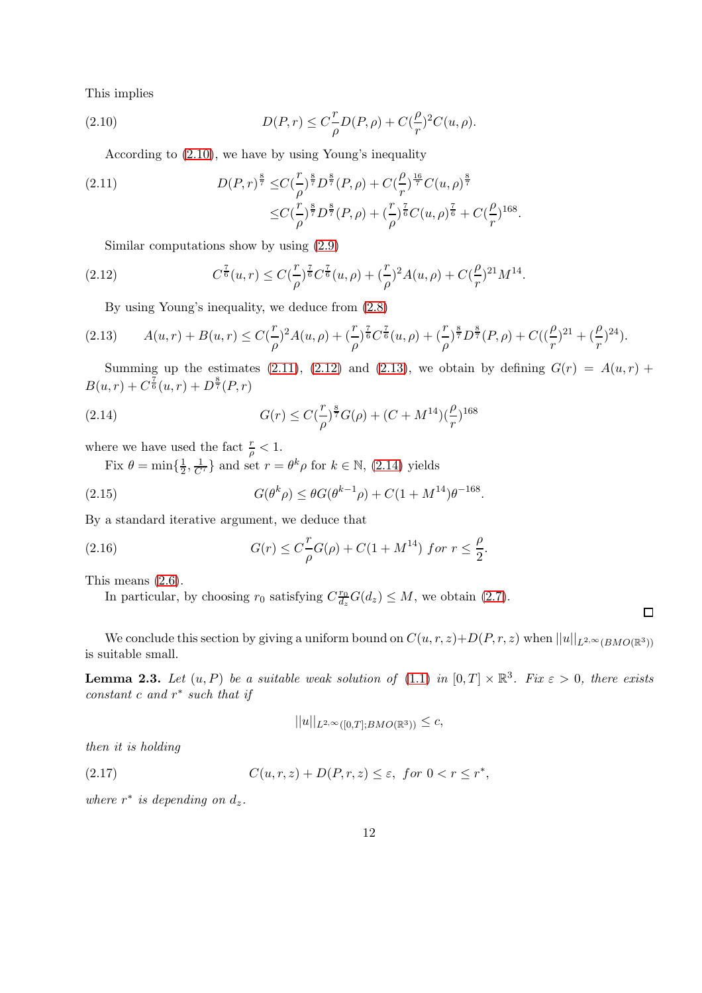This implies

<span id="page-11-0"></span>(2.10) 
$$
D(P,r) \leq C_{\rho}^{T} D(P,\rho) + C_{\gamma}^{2} C(u,\rho).
$$

According to [\(2.10\)](#page-11-0), we have by using Young's inequality

<span id="page-11-1"></span>(2.11) 
$$
D(P,r)^{\frac{8}{7}} \leq C(\frac{r}{\rho})^{\frac{8}{7}} D^{\frac{8}{7}}(P,\rho) + C(\frac{\rho}{r})^{\frac{16}{7}} C(u,\rho)^{\frac{8}{7}} \n\leq C(\frac{r}{\rho})^{\frac{8}{7}} D^{\frac{8}{7}}(P,\rho) + (\frac{r}{\rho})^{\frac{7}{6}} C(u,\rho)^{\frac{7}{6}} + C(\frac{\rho}{r})^{168}.
$$

Similar computations show by using [\(2.9\)](#page-10-0)

<span id="page-11-2"></span>(2.12) 
$$
C^{\frac{7}{6}}(u,r) \leq C(\frac{r}{\rho})^{\frac{7}{6}}C^{\frac{7}{6}}(u,\rho)+(\frac{r}{\rho})^2A(u,\rho)+C(\frac{\rho}{r})^{21}M^{14}.
$$

By using Young's inequality, we deduce from [\(2.8\)](#page-10-1)

<span id="page-11-3"></span>
$$
(2.13) \qquad A(u,r)+B(u,r)\leq C\left(\frac{r}{\rho}\right)^{2}A(u,\rho)+\left(\frac{r}{\rho}\right)^{\frac{7}{6}}C^{\frac{7}{6}}(u,\rho)+\left(\frac{r}{\rho}\right)^{\frac{8}{7}}D^{\frac{8}{7}}(P,\rho)+C\left(\left(\frac{\rho}{r}\right)^{21}+\left(\frac{\rho}{r}\right)^{24}\right).
$$

Summing up the estimates [\(2.11\)](#page-11-1), [\(2.12\)](#page-11-2) and [\(2.13\)](#page-11-3), we obtain by defining  $G(r) = A(u,r) +$  $B(u,r) + C^{\frac{7}{6}}(u,r) + D^{\frac{8}{7}}(P,r)$ 

<span id="page-11-4"></span>(2.14) 
$$
G(r) \leq C(\frac{r}{\rho})^{\frac{8}{7}}G(\rho) + (C + M^{14})(\frac{\rho}{r})^{168}
$$

where we have used the fact  $\frac{r}{\rho} < 1$ .

Fix  $\theta = \min\{\frac{1}{2}$  $\frac{1}{2}, \frac{1}{C^7}$  and set  $r = \theta^k \rho$  for  $k \in \mathbb{N}$ , [\(2.14\)](#page-11-4) yields

(2.15) 
$$
G(\theta^k \rho) \leq \theta G(\theta^{k-1} \rho) + C(1 + M^{14})\theta^{-168}.
$$

By a standard iterative argument, we deduce that

(2.16) 
$$
G(r) \leq C \frac{r}{\rho} G(\rho) + C(1 + M^{14}) \text{ for } r \leq \frac{\rho}{2}.
$$

This means [\(2.6\)](#page-9-2).

In particular, by choosing  $r_0$  satisfying  $C_{\overline{d_r}}^{r_0}$  $\frac{r_0}{d_z}G(d_z) \leq M$ , we obtain [\(2.7\)](#page-9-3).

We conclude this section by giving a uniform bound on  $C(u, r, z)+D(P, r, z)$  when  $||u||_{L^{2,\infty}(BMO(\mathbb{R}^3))}$ is suitable small.

 $\Box$ 

<span id="page-11-5"></span>**Lemma 2.3.** Let  $(u, P)$  be a suitable weak solution of  $(1.1)$  in  $[0, T] \times \mathbb{R}^3$ . Fix  $\varepsilon > 0$ , there exists  $constant \ c \ and \ r^* \ such \ that \ if$ 

$$
||u||_{L^{2,\infty}([0,T];BMO(\mathbb{R}^3))} \leq c,
$$

then it is holding

(2.17)  $C(u, r, z) + D(P, r, z) \le \varepsilon, \text{ for } 0 < r \le r^*,$ 

where  $r^*$  is depending on  $d_z$ .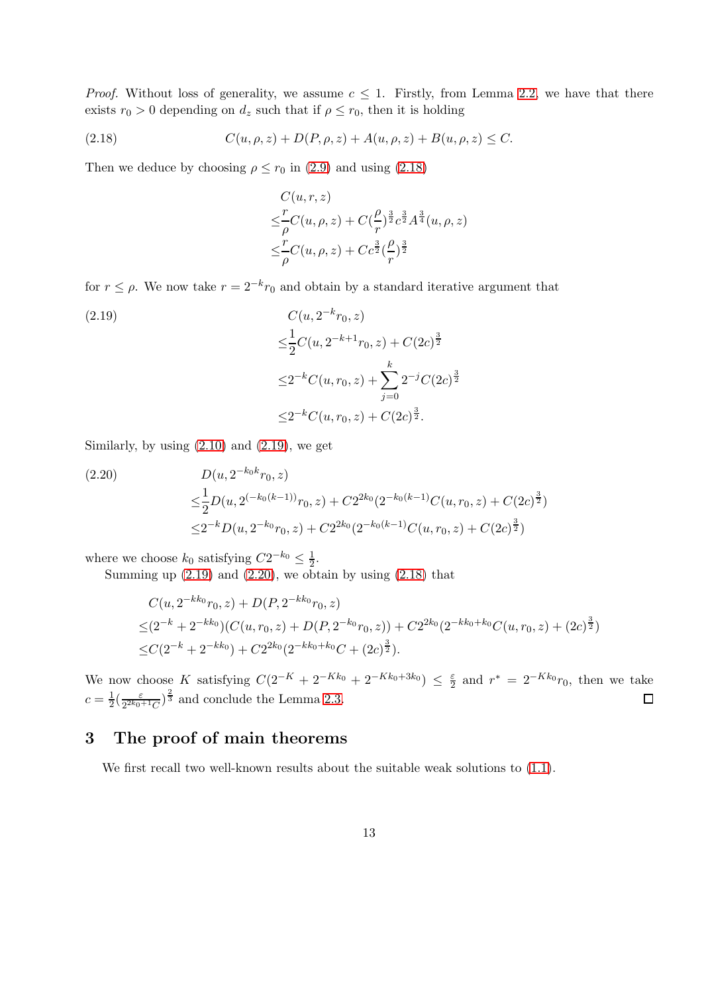*Proof.* Without loss of generality, we assume  $c \leq 1$ . Firstly, from Lemma [2.2,](#page-9-4) we have that there exists  $r_0 > 0$  depending on  $d_z$  such that if  $\rho \leq r_0$ , then it is holding

<span id="page-12-0"></span>(2.18) 
$$
C(u, \rho, z) + D(P, \rho, z) + A(u, \rho, z) + B(u, \rho, z) \leq C.
$$

Then we deduce by choosing  $\rho \le r_0$  in [\(2.9\)](#page-10-0) and using [\(2.18\)](#page-12-0)

$$
C(u, r, z)
$$
  
\n
$$
\leq \frac{r}{\rho}C(u, \rho, z) + C(\frac{\rho}{r})^{\frac{3}{2}}c^{\frac{3}{2}}A^{\frac{3}{4}}(u, \rho, z)
$$
  
\n
$$
\leq \frac{r}{\rho}C(u, \rho, z) + Cc^{\frac{3}{2}}(\frac{\rho}{r})^{\frac{3}{2}}
$$

for  $r \leq \rho$ . We now take  $r = 2^{-k}r_0$  and obtain by a standard iterative argument that

<span id="page-12-1"></span>(2.19)  
\n
$$
C(u, 2^{-k}r_0, z)
$$
\n
$$
\leq \frac{1}{2}C(u, 2^{-k+1}r_0, z) + C(2c)^{\frac{3}{2}}
$$
\n
$$
\leq 2^{-k}C(u, r_0, z) + \sum_{j=0}^{k} 2^{-j}C(2c)^{\frac{3}{2}}
$$
\n
$$
\leq 2^{-k}C(u, r_0, z) + C(2c)^{\frac{3}{2}}.
$$

Similarly, by using  $(2.10)$  and  $(2.19)$ , we get

<span id="page-12-2"></span>(2.20)  
\n
$$
D(u, 2^{-k_0 k}r_0, z)
$$
\n
$$
\leq \frac{1}{2}D(u, 2^{(-k_0(k-1))}r_0, z) + C2^{2k_0}(2^{-k_0(k-1)}C(u, r_0, z) + C(2c)^{\frac{3}{2}})
$$
\n
$$
\leq 2^{-k}D(u, 2^{-k_0}r_0, z) + C2^{2k_0}(2^{-k_0(k-1)}C(u, r_0, z) + C(2c)^{\frac{3}{2}})
$$

where we choose  $k_0$  satisfying  $C2^{-k_0} \leq \frac{1}{2}$  $\frac{1}{2}$ .

Summing up  $(2.19)$  and  $(2.20)$ , we obtain by using  $(2.18)$  that

$$
C(u, 2^{-kk_0}r_0, z) + D(P, 2^{-kk_0}r_0, z)
$$
  
\n
$$
\leq (2^{-k} + 2^{-kk_0})(C(u, r_0, z) + D(P, 2^{-k_0}r_0, z)) + C2^{2k_0}(2^{-kk_0 + k_0}C(u, r_0, z) + (2c)^{\frac{3}{2}})
$$
  
\n
$$
\leq C(2^{-k} + 2^{-kk_0}) + C2^{2k_0}(2^{-kk_0 + k_0}C + (2c)^{\frac{3}{2}}).
$$

We now choose K satisfying  $C(2^{-K} + 2^{-Kk_0} + 2^{-Kk_0+3k_0}) \leq \frac{\varepsilon}{2}$  and  $r^* = 2^{-Kk_0}r_0$ , then we take  $\frac{\varepsilon}{2^{2k_0+1}C}$ <sup>2</sup>/<sub>3</sub> and conclude the Lemma [2.3.](#page-11-5)  $c=\frac{1}{2}$  $rac{1}{2}(\frac{\varepsilon}{2^{2k_0}})$ □

### 3 The proof of main theorems

We first recall two well-known results about the suitable weak solutions to  $(1.1)$ .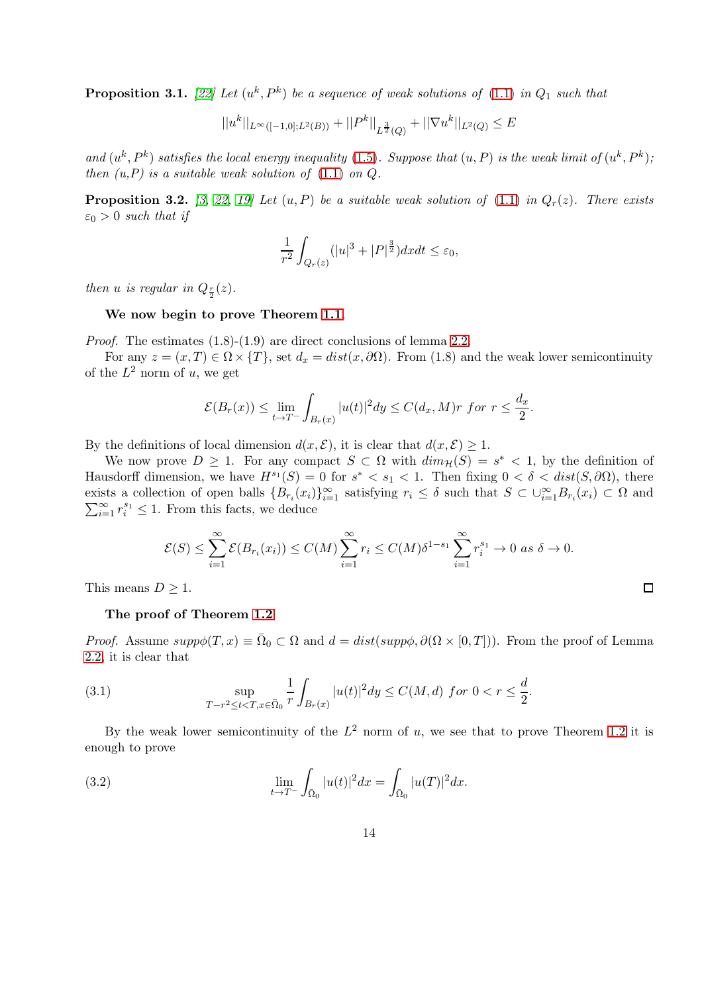<span id="page-13-3"></span>**Proposition 3.1.** [\[22\]](#page-20-15) Let  $(u^k, P^k)$  be a sequence of weak solutions of  $(1.1)$  in  $Q_1$  such that

$$
||u^k||_{L^{\infty}([-1,0];L^2(B))} + ||P^k||_{L^{\frac{3}{2}}(Q)} + ||\nabla u^k||_{L^2(Q)} \le E
$$

and  $(u^k, P^k)$  satisfies the local energy inequality [\(1.5\)](#page-3-1). Suppose that  $(u, P)$  is the weak limit of  $(u^k, P^k)$ ; then  $(u, P)$  is a suitable weak solution of  $(1.1)$  on  $Q$ .

<span id="page-13-2"></span>**Proposition 3.2.** [\[3,](#page-19-2) [22,](#page-20-15) [19\]](#page-20-16) Let  $(u, P)$  be a suitable weak solution of [\(1.1\)](#page-0-0) in  $Q_r(z)$ . There exists  $\varepsilon_0 > 0$  such that if

$$
\frac{1}{r^2} \int_{Q_r(z)} (|u|^3 + |P|^{\frac{3}{2}}) dx dt \le \varepsilon_0,
$$

then *u* is regular in  $Q_{\frac{r}{2}}(z)$ .

We now begin to prove Theorem [1.1](#page-4-1).

Proof. The estimates  $(1.8)-(1.9)$  are direct conclusions of lemma [2.2.](#page-9-4)

For any  $z = (x, T) \in \Omega \times \{T\}$ , set  $d_x = dist(x, \partial \Omega)$ . From (1.8) and the weak lower semicontinuity of the  $L^2$  norm of u, we get

$$
\mathcal{E}(B_r(x)) \le \lim_{t \to T^-} \int_{B_r(x)} |u(t)|^2 dy \le C(d_x, M)r \text{ for } r \le \frac{d_x}{2}.
$$

By the definitions of local dimension  $d(x, \mathcal{E})$ , it is clear that  $d(x, \mathcal{E}) \geq 1$ .

We now prove  $D \geq 1$ . For any compact  $S \subset \Omega$  with  $\dim_{\mathcal{H}}(S) = s^* < 1$ , by the definition of Hausdorff dimension, we have  $H^{s_1}(S) = 0$  for  $s^* < s_1 < 1$ . Then fixing  $0 < \delta < dist(S, \partial \Omega)$ , there exists a collection of open balls  ${B_{r_i}(x_i)}_{i=1}^{\infty}$  satisfying  $r_i \leq \delta$  such that  $S \subset \bigcup_{i=1}^{\infty} B_{r_i}(x_i) \subset \Omega$  and  $\sum_{i=1}^{\infty} r_i^{s_1} \leq 1$ . From this facts, we deduce  $\sum_{i=1}^{\infty} r_i^{s_1} \leq 1$ . From this facts, we deduce

$$
\mathcal{E}(S) \leq \sum_{i=1}^{\infty} \mathcal{E}(B_{r_i}(x_i)) \leq C(M) \sum_{i=1}^{\infty} r_i \leq C(M) \delta^{1-s_1} \sum_{i=1}^{\infty} r_i^{s_1} \to 0 \text{ as } \delta \to 0.
$$

This means  $D \geq 1$ .

#### The proof of Theorem [1.2](#page-5-2)

*Proof.* Assume  $supp\phi(T, x) \equiv \overline{\Omega}_0 \subset \Omega$  and  $d = dist(supp\phi, \partial(\Omega \times [0, T]))$ . From the proof of Lemma [2.2,](#page-9-4) it is clear that

<span id="page-13-0"></span>(3.1) 
$$
\sup_{T-r^2 \le t < T, x \in \bar{\Omega}_0} \frac{1}{r} \int_{B_r(x)} |u(t)|^2 dy \le C(M, d) \text{ for } 0 < r \le \frac{d}{2}.
$$

By the weak lower semicontinuity of the  $L^2$  norm of u, we see that to prove Theorem [1.2](#page-5-2) it is enough to prove

<span id="page-13-1"></span>(3.2) 
$$
\lim_{t \to T^{-}} \int_{\bar{\Omega}_{0}} |u(t)|^{2} dx = \int_{\bar{\Omega}_{0}} |u(T)|^{2} dx.
$$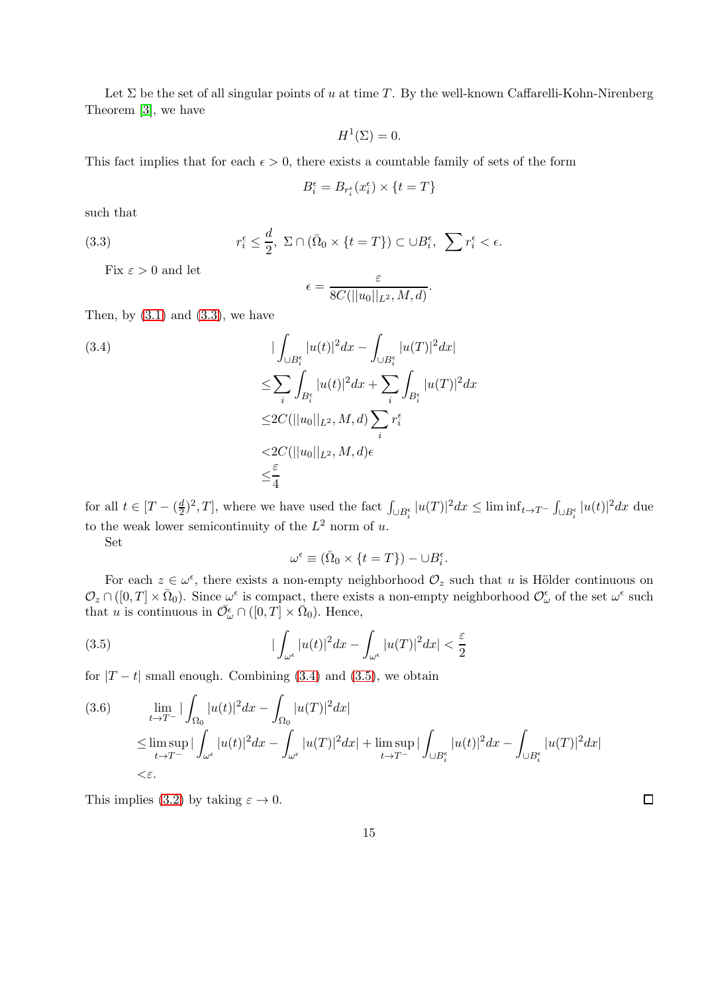Let  $\Sigma$  be the set of all singular points of u at time T. By the well-known Caffarelli-Kohn-Nirenberg Theorem [\[3\]](#page-19-2), we have

$$
H^1(\Sigma) = 0.
$$

This fact implies that for each  $\epsilon > 0$ , there exists a countable family of sets of the form

$$
B_i^{\epsilon} = B_{r_i^{\epsilon}}(x_i^{\epsilon}) \times \{t = T\}
$$

such that

<span id="page-14-0"></span>(3.3) 
$$
r_i^{\epsilon} \leq \frac{d}{2}, \ \Sigma \cap (\bar{\Omega}_0 \times \{t = T\}) \subset \cup B_i^{\epsilon}, \ \sum r_i^{\epsilon} < \epsilon.
$$

Fix  $\varepsilon > 0$  and let

$$
\epsilon = \frac{\varepsilon}{8C(||u_0||_{L^2}, M, d)}.
$$

Then, by  $(3.1)$  and  $(3.3)$ , we have

<span id="page-14-1"></span>
$$
(3.4) \qquad \qquad |\int_{\bigcup B_i^{\epsilon}} |u(t)|^2 dx - \int_{\bigcup B_i^{\epsilon}} |u(T)|^2 dx|
$$
  
\n
$$
\leq \sum_{i} \int_{B_i^{\epsilon}} |u(t)|^2 dx + \sum_{i} \int_{B_i^{\epsilon}} |u(T)|^2 dx
$$
  
\n
$$
\leq 2C(||u_0||_{L^2}, M, d) \sum_{i} r_i^{\epsilon}
$$
  
\n
$$
< 2C(||u_0||_{L^2}, M, d) \epsilon
$$
  
\n
$$
\leq \frac{\epsilon}{4}
$$

for all  $t \in [T - (\frac{d}{2})]$  $\frac{d}{dt}$ )<sup>2</sup>, T, where we have used the fact  $\int_{\bigcup B_i^{\epsilon}} |u(T)|^2 dx \leq \liminf_{t \to T^{-}} \int_{\bigcup B_i^{\epsilon}} |u(t)|^2 dx$  due to the weak lower semicontinuity of the  $L^2$  norm of u.

Set

$$
\omega^{\epsilon} \equiv (\bar{\Omega}_0 \times \{t = T\}) - \cup B_i^{\epsilon}.
$$

For each  $z \in \omega^{\epsilon}$ , there exists a non-empty neighborhood  $\mathcal{O}_z$  such that u is Hölder continuous on  $\mathcal{O}_z \cap ([0,T] \times \bar{\Omega}_0)$ . Since  $\omega^{\epsilon}$  is compact, there exists a non-empty neighborhood  $\mathcal{O}_{\omega}^{\epsilon}$  of the set  $\omega^{\epsilon}$  such that u is continuous in  $\overline{\mathcal{O}}_{\omega}^{\epsilon} \cap ([0, T] \times \overline{\Omega}_0)$ . Hence,

<span id="page-14-2"></span>(3.5) 
$$
|\int_{\omega^{\epsilon}} |u(t)|^2 dx - \int_{\omega^{\epsilon}} |u(T)|^2 dx| < \frac{\epsilon}{2}
$$

for  $|T - t|$  small enough. Combining [\(3.4\)](#page-14-1) and [\(3.5\)](#page-14-2), we obtain

(3.6) 
$$
\lim_{t \to T^{-}} |\int_{\Omega_{0}} |u(t)|^{2} dx - \int_{\Omega_{0}} |u(T)|^{2} dx|
$$
  
\n
$$
\leq \limsup_{t \to T^{-}} |\int_{\omega^{\epsilon}} |u(t)|^{2} dx - \int_{\omega^{\epsilon}} |u(T)|^{2} dx| + \limsup_{t \to T^{-}} |\int_{\cup B_{i}^{\epsilon}} |u(t)|^{2} dx - \int_{\cup B_{i}^{\epsilon}} |u(T)|^{2} dx|
$$
  
\n
$$
<\varepsilon.
$$

This implies [\(3.2\)](#page-13-1) by taking  $\varepsilon \to 0$ .

 $\Box$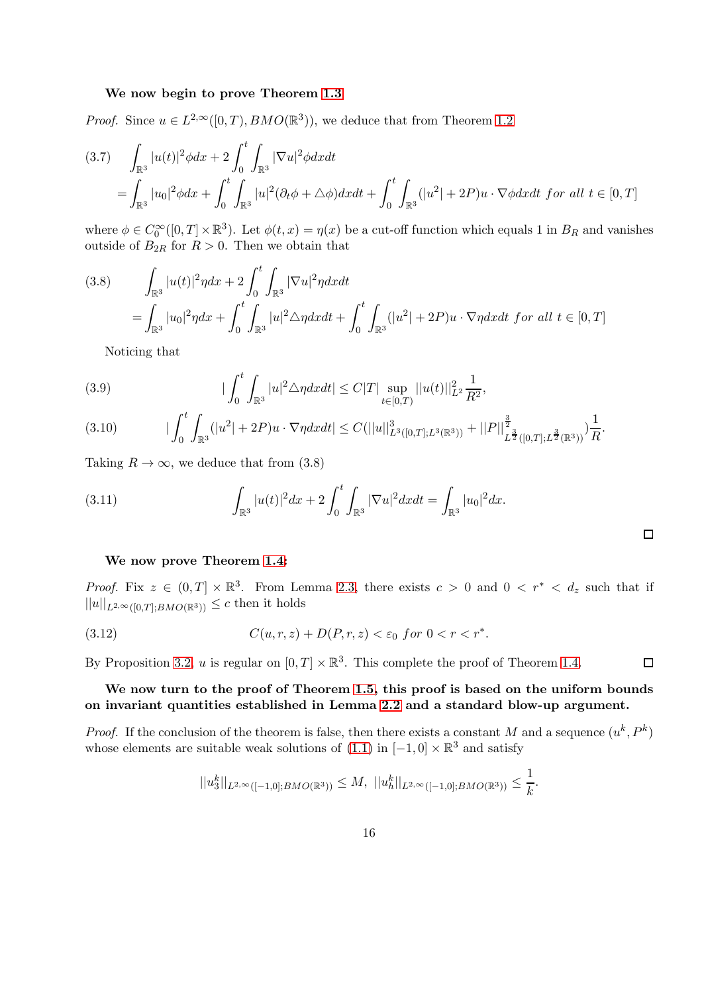#### We now begin to prove Theorem [1.3](#page-5-1)

*Proof.* Since  $u \in L^{2,\infty}([0,T), BMO(\mathbb{R}^3))$ , we deduce that from Theorem [1.2](#page-5-2)

$$
(3.7) \int_{\mathbb{R}^3} |u(t)|^2 \phi dx + 2 \int_0^t \int_{\mathbb{R}^3} |\nabla u|^2 \phi dx dt
$$
  
= 
$$
\int_{\mathbb{R}^3} |u_0|^2 \phi dx + \int_0^t \int_{\mathbb{R}^3} |u|^2 (\partial_t \phi + \Delta \phi) dx dt + \int_0^t \int_{\mathbb{R}^3} (|u^2| + 2P) u \cdot \nabla \phi dx dt \text{ for all } t \in [0, T]
$$

where  $\phi \in C_0^{\infty}([0,T] \times \mathbb{R}^3)$ . Let  $\phi(t,x) = \eta(x)$  be a cut-off function which equals 1 in  $B_R$  and vanishes outside of  $B_{2R}$  for  $R > 0$ . Then we obtain that

$$
(3.8) \qquad \int_{\mathbb{R}^3} |u(t)|^2 \eta dx + 2 \int_0^t \int_{\mathbb{R}^3} |\nabla u|^2 \eta dx dt
$$
  
= 
$$
\int_{\mathbb{R}^3} |u_0|^2 \eta dx + \int_0^t \int_{\mathbb{R}^3} |u|^2 \triangle \eta dx dt + \int_0^t \int_{\mathbb{R}^3} (|u^2| + 2P)u \cdot \nabla \eta dx dt \text{ for all } t \in [0, T]
$$

Noticing that

(3.9) 
$$
|\int_0^t \int_{\mathbb{R}^3} |u|^2 \triangle \eta dx dt| \leq C|T| \sup_{t \in [0,T)} ||u(t)||_{L^2}^2 \frac{1}{R^2},
$$

$$
(3.10) \t |\int_0^t \int_{\mathbb{R}^3} (|u^2| + 2P)u \cdot \nabla \eta dx dt| \leq C(||u||^3_{L^3([0,T];L^3(\mathbb{R}^3))} + ||P||^{\frac{3}{2}}_{L^{\frac{3}{2}}([0,T];L^{\frac{3}{2}}(\mathbb{R}^3))}) \frac{1}{R}.
$$

Taking  $R \to \infty$ , we deduce that from (3.8)

(3.11) 
$$
\int_{\mathbb{R}^3} |u(t)|^2 dx + 2 \int_0^t \int_{\mathbb{R}^3} |\nabla u|^2 dx dt = \int_{\mathbb{R}^3} |u_0|^2 dx.
$$

#### We now prove Theorem [1.4:](#page-5-0)

*Proof.* Fix  $z \in (0,T] \times \mathbb{R}^3$ . From Lemma [2.3,](#page-11-5) there exists  $c > 0$  and  $0 < r^* < d_z$  such that if  $||u||_{L^{2,\infty}([0,T];BMO(\mathbb{R}^3))} \leq c$  then it holds

(3.12) 
$$
C(u,r,z) + D(P,r,z) < \varepsilon_0 \text{ for } 0 < r < r^*.
$$

By Proposition [3.2,](#page-13-2) u is regular on  $[0, T] \times \mathbb{R}^3$ . This complete the proof of Theorem [1.4.](#page-5-0)

### We now turn to the proof of Theorem [1.5,](#page-6-6) this proof is based on the uniform bounds on invariant quantities established in Lemma [2.2](#page-9-4) and a standard blow-up argument.

 $\Box$ 

*Proof.* If the conclusion of the theorem is false, then there exists a constant M and a sequence  $(u^k, P^k)$ whose elements are suitable weak solutions of  $(1.1)$  in  $[-1,0] \times \mathbb{R}^3$  and satisfy

$$
||u_3^k||_{L^{2,\infty}([-1,0];BMO(\mathbb{R}^3))} \leq M, \ ||u_h^k||_{L^{2,\infty}([-1,0];BMO(\mathbb{R}^3))} \leq \frac{1}{k}.
$$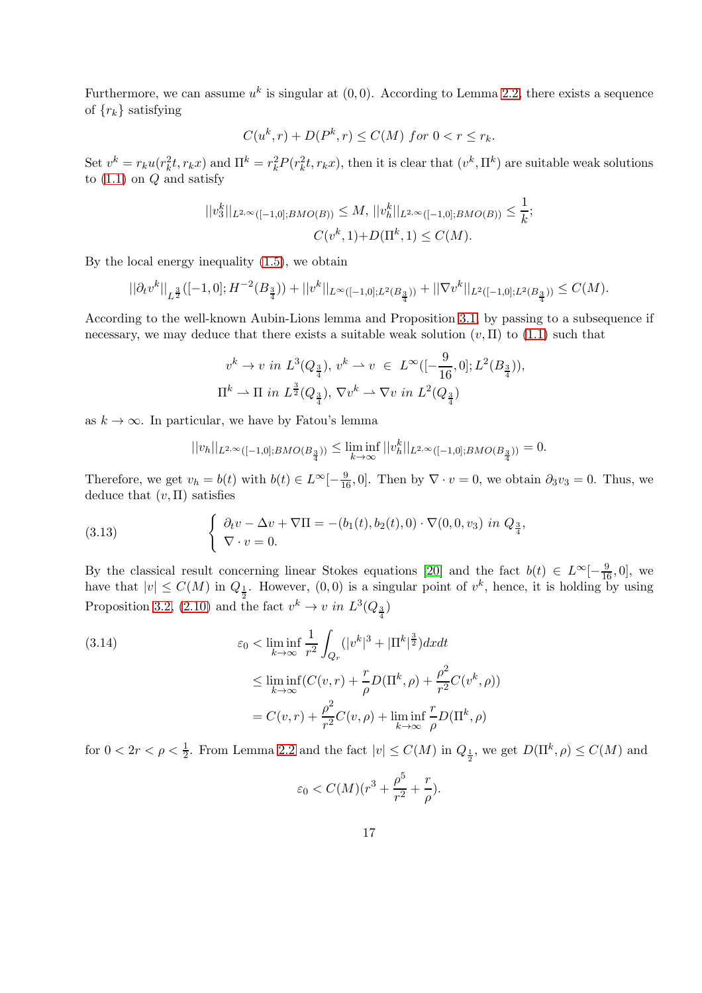Furthermore, we can assume  $u^k$  is singular at  $(0, 0)$ . According to Lemma [2.2,](#page-9-4) there exists a sequence of  ${r_k}$  satisfying

$$
C(u^k, r) + D(P^k, r) \le C(M) \text{ for } 0 < r \le r_k.
$$

Set  $v^k = r_k u(r_k^2 t, r_k x)$  and  $\Pi^k = r_k^2 P(r_k^2 t, r_k x)$ , then it is clear that  $(v^k, \Pi^k)$  are suitable weak solutions to  $(1.1)$  on  $Q$  and satisfy

$$
||v_3^k||_{L^{2,\infty}([-1,0];BMO(B))} \le M, ||v_h^k||_{L^{2,\infty}([-1,0];BMO(B))} \le \frac{1}{k};
$$
  

$$
C(v^k,1)+D(\Pi^k,1) \le C(M).
$$

By the local energy inequality [\(1.5\)](#page-3-1), we obtain

$$
||\partial_t v^k||_{L^{\frac{3}{2}}}\big([-1,0];H^{-2}(B_{\frac{3}{4}})\big)+||v^k||_{L^\infty([-1,0];L^2(B_{\frac{3}{4}}))}+||\nabla v^k||_{L^2([-1,0];L^2(B_{\frac{3}{4}}))}\leq C(M).
$$

According to the well-known Aubin-Lions lemma and Proposition [3.1,](#page-13-3) by passing to a subsequence if necessary, we may deduce that there exists a suitable weak solution  $(v, \Pi)$  to  $(1.1)$  such that

$$
v^k \to v \text{ in } L^3(Q_{\frac{3}{4}}), v^k \to v \in L^\infty([-\frac{9}{16}, 0]; L^2(B_{\frac{3}{4}})),
$$
  

$$
\Pi^k \to \Pi \text{ in } L^{\frac{3}{2}}(Q_{\frac{3}{4}}), \nabla v^k \to \nabla v \text{ in } L^2(Q_{\frac{3}{4}})
$$

as  $k \to \infty$ . In particular, we have by Fatou's lemma

$$
||v_h||_{L^{2,\infty}([-1,0]; BMO(B_{\frac{3}{4}}))}\leq \liminf_{k\to\infty}||v_h^k||_{L^{2,\infty}([-1,0]; BMO(B_{\frac{3}{4}}))}=0.
$$

Therefore, we get  $v_h = b(t)$  with  $b(t) \in L^{\infty}[-\frac{9}{16}, 0]$ . Then by  $\nabla \cdot v = 0$ , we obtain  $\partial_3 v_3 = 0$ . Thus, we deduce that  $(v, \Pi)$  satisfies

(3.13) 
$$
\begin{cases} \partial_t v - \Delta v + \nabla \Pi = -(b_1(t), b_2(t), 0) \cdot \nabla(0, 0, v_3) \text{ in } Q_{\frac{3}{4}},\\ \nabla \cdot v = 0. \end{cases}
$$

By the classical result concerning linear Stokes equations [\[20\]](#page-20-10) and the fact  $b(t) \in L^{\infty}[-\frac{9}{16},0]$ , we have that  $|v| \leq C(M)$  in  $Q_{\frac{1}{2}}$ . However,  $(0,0)$  is a singular point of  $v^k$ , hence, it is holding by using Proposition [3.2,](#page-13-2) [\(2.10\)](#page-11-0) and the fact  $v^k \to v$  in  $L^3(Q_{\frac{3}{4}})$ 

(3.14) 
$$
\varepsilon_0 < \liminf_{k \to \infty} \frac{1}{r^2} \int_{Q_r} (|v^k|^3 + |\Pi^k|^{\frac{3}{2}}) dx dt
$$

$$
\leq \liminf_{k \to \infty} (C(v, r) + \frac{r}{\rho} D(\Pi^k, \rho) + \frac{\rho^2}{r^2} C(v^k, \rho))
$$

$$
= C(v, r) + \frac{\rho^2}{r^2} C(v, \rho) + \liminf_{k \to \infty} \frac{r}{\rho} D(\Pi^k, \rho)
$$

for  $0 < 2r < \rho < \frac{1}{2}$ . From Lemma [2.2](#page-9-4) and the fact  $|v| \le C(M)$  in  $Q_{\frac{1}{2}}$ , we get  $D(\Pi^k, \rho) \le C(M)$  and

$$
\varepsilon_0 < C(M)(r^3+\frac{\rho^5}{r^2}+\frac{r}{\rho}).
$$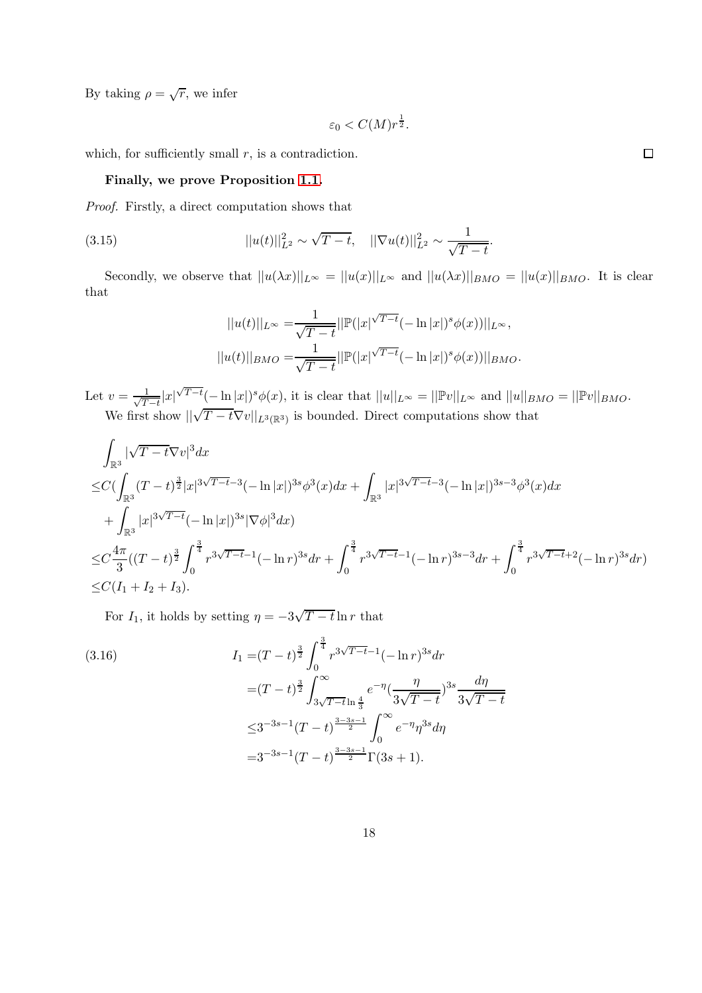By taking  $\rho = \sqrt{r}$ , we infer

$$
\varepsilon_0 < C(M) r^{\frac{1}{2}}.
$$

which, for sufficiently small  $r$ , is a contradiction.

#### Finally, we prove Proposition [1.1.](#page-4-0)

Proof. Firstly, a direct computation shows that

(3.15) 
$$
||u(t)||_{L^2}^2 \sim \sqrt{T-t}, \quad ||\nabla u(t)||_{L^2}^2 \sim \frac{1}{\sqrt{T-t}}.
$$

Secondly, we observe that  $||u(\lambda x)||_{L^{\infty}} = ||u(x)||_{L^{\infty}}$  and  $||u(\lambda x)||_{BMO} = ||u(x)||_{BMO}$ . It is clear that

$$
||u(t)||_{L^{\infty}} = \frac{1}{\sqrt{T-t}} ||\mathbb{P}(|x|^{\sqrt{T-t}}(-\ln|x|)^{s}\phi(x))||_{L^{\infty}},
$$
  

$$
||u(t)||_{BMO} = \frac{1}{\sqrt{T-t}} ||\mathbb{P}(|x|^{\sqrt{T-t}}(-\ln|x|)^{s}\phi(x))||_{BMO}.
$$

Let  $v = \frac{1}{\sqrt{T}}$  $\frac{1}{T-t}|x|^{\sqrt{T-t}}(-\ln|x|)^s\phi(x)$ , it is clear that  $||u||_{L^{\infty}}=||\mathbb{P}v||_{L^{\infty}}$  and  $||u||_{BMO}=||\mathbb{P}v||_{BMO}$ . We first show  $\sqrt{T-t} \nabla v||_{L^3(\mathbb{R}^3)}$  is bounded. Direct computations show that

$$
\int_{\mathbb{R}^3} |\sqrt{T-t}\nabla v|^3 dx
$$
\n
$$
\leq C\left(\int_{\mathbb{R}^3} (T-t)^{\frac{3}{2}} |x|^{3\sqrt{T-t}}^{-3} (-\ln |x|)^{3s} \phi^3(x) dx + \int_{\mathbb{R}^3} |x|^{3\sqrt{T-t}}^{-3} (-\ln |x|)^{3s-3} \phi^3(x) dx + \int_{\mathbb{R}^3} |x|^{3\sqrt{T-t}} (-\ln |x|)^{3s} |\nabla \phi|^3 dx\right)
$$
\n
$$
\leq C\frac{4\pi}{3} ((T-t)^{\frac{3}{2}} \int_0^{\frac{3}{4}} r^{3\sqrt{T-t}} (-\ln r)^{3s} dr + \int_0^{\frac{3}{4}} r^{3\sqrt{T-t}} (-\ln r)^{3s-3} dr + \int_0^{\frac{3}{4}} r^{3\sqrt{T-t}} (-\ln r)^{3s} dr)\n\leq C(I_1 + I_2 + I_3).
$$

For  $I_1$ , it holds by setting  $\eta = -3\sqrt{T-t} \ln r$  that

<span id="page-17-0"></span>(3.16)  
\n
$$
I_{1} = (T - t)^{\frac{3}{2}} \int_{0}^{\frac{3}{4}} r^{3\sqrt{T - t} - 1} (-\ln r)^{3s} dr
$$
\n
$$
= (T - t)^{\frac{3}{2}} \int_{3\sqrt{T - t} \ln \frac{4}{3}}^{\infty} e^{-\eta} \left(\frac{\eta}{3\sqrt{T - t}}\right)^{3s} \frac{d\eta}{3\sqrt{T - t}}
$$
\n
$$
\leq 3^{-3s - 1} (T - t)^{\frac{3 - 3s - 1}{2}} \int_{0}^{\infty} e^{-\eta} \eta^{3s} d\eta
$$
\n
$$
= 3^{-3s - 1} (T - t)^{\frac{3 - 3s - 1}{2}} \Gamma(3s + 1).
$$

 $\Box$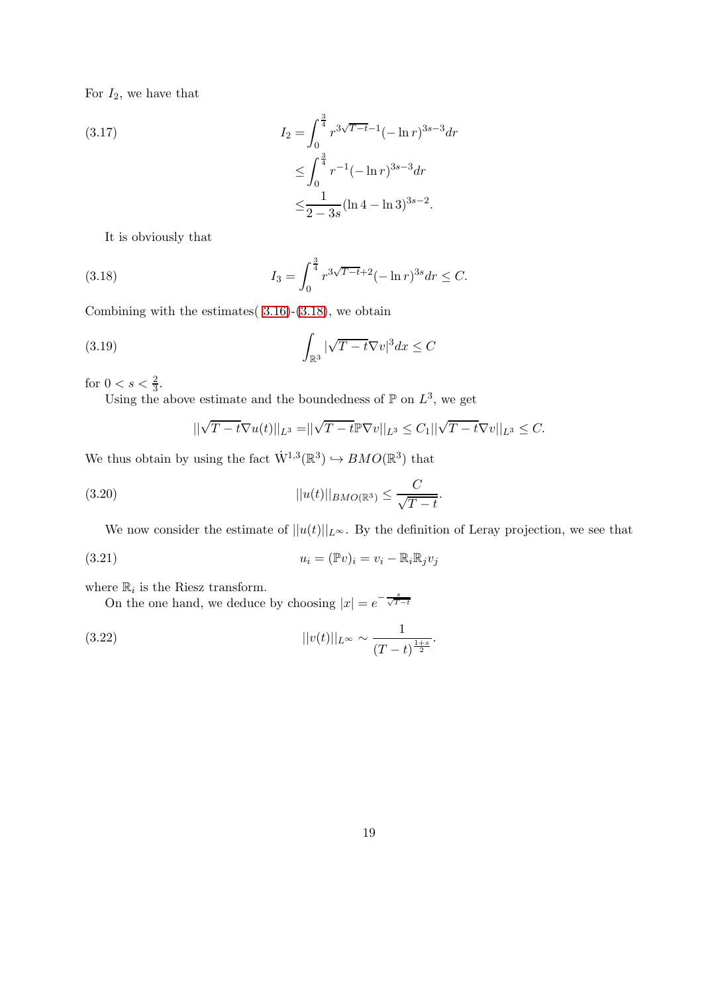For  $I_2$ , we have that

(3.17)  
\n
$$
I_2 = \int_0^{\frac{3}{4}} r^{3\sqrt{T-t}-1} (-\ln r)^{3s-3} dr
$$
\n
$$
\leq \int_0^{\frac{3}{4}} r^{-1} (-\ln r)^{3s-3} dr
$$
\n
$$
\leq \frac{1}{2-3s} (\ln 4 - \ln 3)^{3s-2}.
$$

It is obviously that

<span id="page-18-0"></span>(3.18) 
$$
I_3 = \int_0^{\frac{3}{4}} r^{3\sqrt{T-t}+2} (-\ln r)^{3s} dr \leq C.
$$

Combining with the estimates( [3.16\)](#page-17-0)-[\(3.18\)](#page-18-0), we obtain

(3.19) 
$$
\int_{\mathbb{R}^3} |\sqrt{T-t} \nabla v|^3 dx \leq C
$$

for  $0 < s < \frac{2}{3}$ .

Using the above estimate and the boundedness of  $\mathbb P$  on  $L^3$ , we get

$$
||\sqrt{T-t}\nabla u(t)||_{L^{3}} = ||\sqrt{T-t}\mathbb{P}\nabla v||_{L^{3}} \leq C_{1}||\sqrt{T-t}\nabla v||_{L^{3}} \leq C.
$$

We thus obtain by using the fact  $\dot{W}^{1,3}(\mathbb{R}^3) \hookrightarrow BMO(\mathbb{R}^3)$  that

$$
||u(t)||_{BMO(\mathbb{R}^3)} \leq \frac{C}{\sqrt{T-t}}.
$$

We now consider the estimate of  $||u(t)||_{L^{\infty}}$ . By the definition of Leray projection, we see that

(3.21) 
$$
u_i = (\mathbb{P}v)_i = v_i - \mathbb{R}_i \mathbb{R}_j v_j
$$

where  $\mathbb{R}_i$  is the Riesz transform.

On the one hand, we deduce by choosing  $|x| = e^{-\frac{s}{\sqrt{T-t}}}$ 

(3.22) 
$$
||v(t)||_{L^{\infty}} \sim \frac{1}{(T-t)^{\frac{1+s}{2}}}.
$$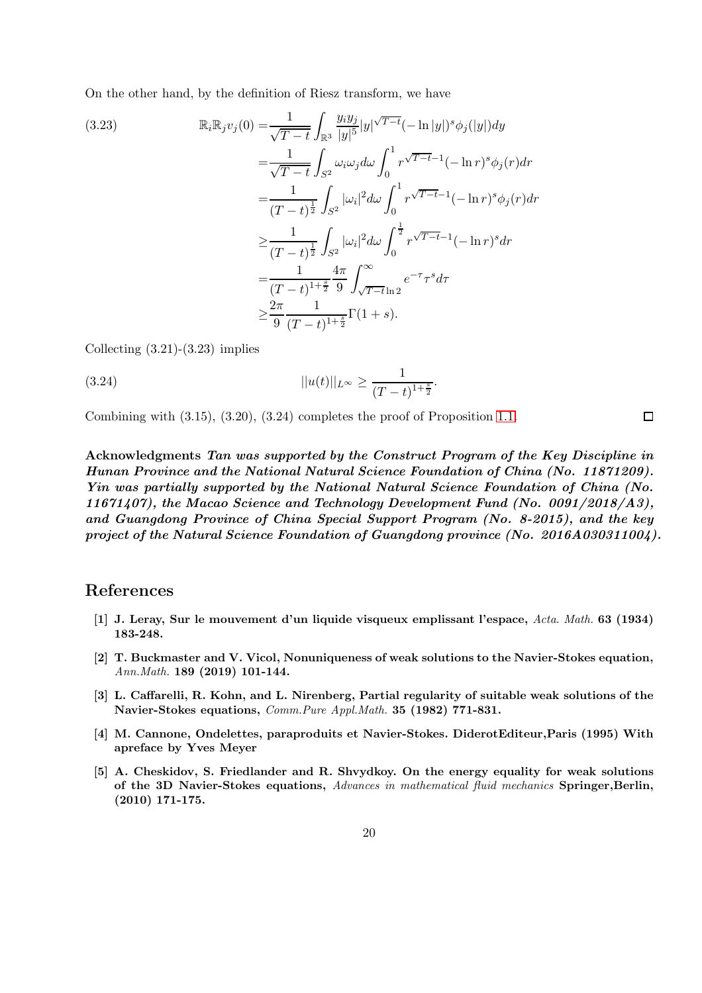On the other hand, by the definition of Riesz transform, we have

(3.23)  
\n
$$
\mathbb{R}_{i} \mathbb{R}_{j} v_{j}(0) = \frac{1}{\sqrt{T-t}} \int_{\mathbb{R}^{3}} \frac{y_{i} y_{j}}{|y|^{5}} |y|^{\sqrt{T-t}} (-\ln|y|)^{s} \phi_{j}(|y|) dy
$$
\n
$$
= \frac{1}{\sqrt{T-t}} \int_{S^{2}} \omega_{i} \omega_{j} d\omega \int_{0}^{1} r^{\sqrt{T-t}} (-\ln r)^{s} \phi_{j}(r) dr
$$
\n
$$
= \frac{1}{(T-t)^{\frac{1}{2}}} \int_{S^{2}} |\omega_{i}|^{2} d\omega \int_{0}^{1} r^{\sqrt{T-t}} (-\ln r)^{s} \phi_{j}(r) dr
$$
\n
$$
\geq \frac{1}{(T-t)^{\frac{1}{2}}} \int_{S^{2}} |\omega_{i}|^{2} d\omega \int_{0}^{\frac{1}{2}} r^{\sqrt{T-t}} (-\ln r)^{s} dr
$$
\n
$$
= \frac{1}{(T-t)^{1+\frac{s}{2}}} \frac{4\pi}{9} \int_{\sqrt{T-t}}^{\infty} e^{-\tau} r^{s} d\tau
$$
\n
$$
\geq \frac{2\pi}{9} \frac{1}{(T-t)^{1+\frac{s}{2}}} \Gamma(1+s).
$$

Collecting  $(3.21)-(3.23)$  implies

$$
||u(t)||_{L^{\infty}} \ge \frac{1}{(T-t)^{1+\frac{s}{2}}}.
$$

Combining with (3.15), (3.20), (3.24) completes the proof of Proposition [1.1.](#page-4-0)

Acknowledgments Tan was supported by the Construct Program of the Key Discipline in Hunan Province and the National Natural Science Foundation of China (No. 11871209). Yin was partially supported by the National Natural Science Foundation of China (No. 11671407), the Macao Science and Technology Development Fund (No. 0091/2018/A3), and Guangdong Province of China Special Support Program (No. 8-2015), and the key project of the Natural Science Foundation of Guangdong province (No. 2016A030311004).

 $\Box$ 

## <span id="page-19-0"></span>References

- [1] J. Leray, Sur le mouvement d'un liquide visqueux emplissant l'espace, Acta. Math. 63 (1934) 183-248.
- [2] T. Buckmaster and V. Vicol, Nonuniqueness of weak solutions to the Navier-Stokes equation, Ann.Math. 189 (2019) 101-144.
- <span id="page-19-2"></span>[3] L. Caffarelli, R. Kohn, and L. Nirenberg, Partial regularity of suitable weak solutions of the Navier-Stokes equations, Comm.Pure Appl.Math. 35 (1982) 771-831.
- <span id="page-19-3"></span>[4] M. Cannone, Ondelettes, paraproduits et Navier-Stokes. DiderotEditeur,Paris (1995) With apreface by Yves Meyer
- <span id="page-19-1"></span>[5] A. Cheskidov, S. Friedlander and R. Shvydkoy. On the energy equality for weak solutions of the 3D Navier-Stokes equations, Advances in mathematical fluid mechanics Springer, Berlin, (2010) 171-175.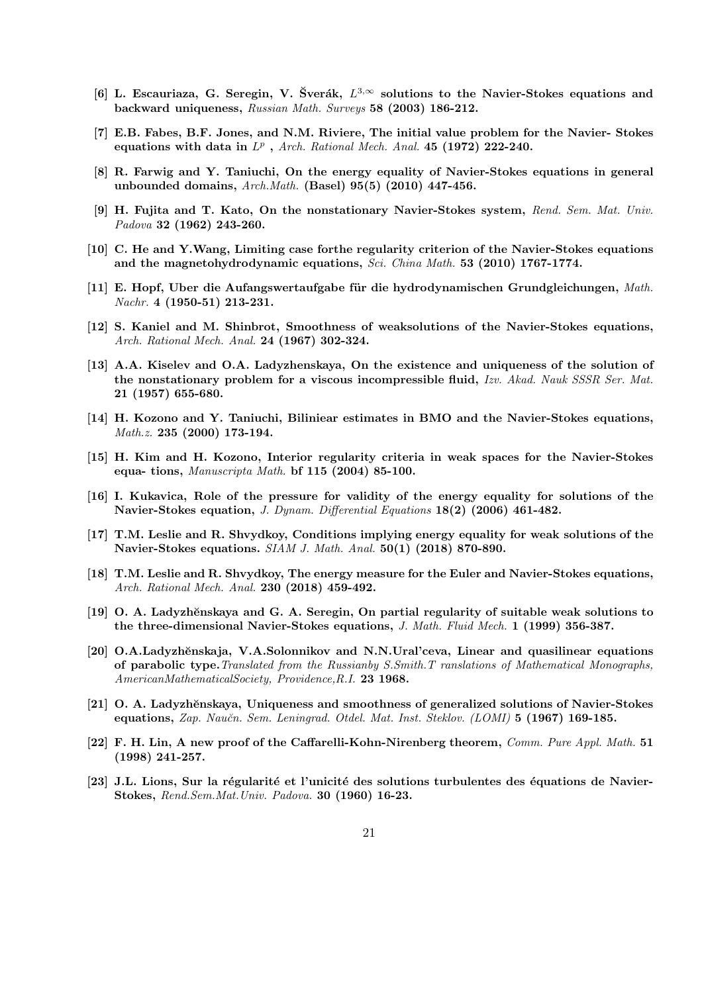- <span id="page-20-5"></span>[6] L. Escauriaza, G. Seregin, V. Šverák,  $L^{3,\infty}$  solutions to the Navier-Stokes equations and backward uniqueness, Russian Math. Surveys 58 (2003) 186-212.
- <span id="page-20-12"></span>[7] E.B. Fabes, B.F. Jones, and N.M. Riviere, The initial value problem for the Navier- Stokes equations with data in  $L^p$ , Arch. Rational Mech. Anal. 45 (1972) 222-240.
- <span id="page-20-0"></span>[8] R. Farwig and Y. Taniuchi, On the energy equality of Navier-Stokes equations in general unbounded domains,  $Arch.Math.$  (Basel)  $95(5)$  (2010) 447-456.
- [9] H. Fujita and T. Kato, On the nonstationary Navier-Stokes system, Rend. Sem. Mat. Univ. Padova 32 (1962) 243-260.
- <span id="page-20-8"></span>[10] C. He and Y.Wang, Limiting case forthe regularity criterion of the Navier-Stokes equations and the magnetohydrodynamic equations, Sci. China Math. 53 (2010) 1767-1774.
- <span id="page-20-3"></span>[11] E. Hopf, Uber die Aufangswertaufgabe für die hydrodynamischen Grundgleichungen, Math. Nachr. 4 (1950-51) 213-231.
- <span id="page-20-1"></span>[12] S. Kaniel and M. Shinbrot, Smoothness of weaksolutions of the Navier-Stokes equations, Arch. Rational Mech. Anal. 24 (1967) 302-324.
- <span id="page-20-2"></span>[13] A.A. Kiselev and O.A. Ladyzhenskaya, On the existence and uniqueness of the solution of the nonstationary problem for a viscous incompressible fluid, Izv. Akad. Nauk SSSR Ser. Mat. 21 (1957) 655-680.
- <span id="page-20-6"></span>[14] H. Kozono and Y. Taniuchi, Biliniear estimates in BMO and the Navier-Stokes equations, Math.z. 235 (2000) 173-194.
- <span id="page-20-7"></span>[15] H. Kim and H. Kozono, Interior regularity criteria in weak spaces for the Navier-Stokes equa- tions, Manuscripta Math. bf 115 (2004) 85-100.
- <span id="page-20-11"></span>[16] I. Kukavica, Role of the pressure for validity of the energy equality for solutions of the Navier-Stokes equation, J. Dynam. Differential Equations 18(2) (2006) 461-482.
- <span id="page-20-13"></span>[17] T.M. Leslie and R. Shvydkoy, Conditions implying energy equality for weak solutions of the Navier-Stokes equations.  $SIAM J. Math. Anal. 50(1)$  (2018) 870-890.
- <span id="page-20-14"></span>[18] T.M. Leslie and R. Shvydkoy, The energy measure for the Euler and Navier-Stokes equations, Arch. Rational Mech. Anal. 230 (2018) 459-492.
- <span id="page-20-16"></span>[19] O. A. Ladyzhěnskaya and G. A. Seregin, On partial regularity of suitable weak solutions to the three-dimensional Navier-Stokes equations, J. Math. Fluid Mech. 1 (1999) 356-387.
- <span id="page-20-10"></span>[20] O.A.Ladyzhěnskaja, V.A.Solonnikov and N.N.Ural'ceva, Linear and quasilinear equations of parabolic type. Translated from the Russianby S.Smith. T ranslations of Mathematical Monographs, AmericanMathematicalSociety, Providence,R.I. 23 1968.
- <span id="page-20-4"></span>[21] O. A. Ladyzhěnskaya, Uniqueness and smoothness of generalized solutions of Navier-Stokes equations, Zap. Naučn. Sem. Leningrad. Otdel. Mat. Inst. Steklov. (LOMI) 5 (1967) 169-185.
- <span id="page-20-15"></span>[22] F. H. Lin, A new proof of the Caffarelli-Kohn-Nirenberg theorem, Comm. Pure Appl. Math. 51 (1998) 241-257.
- <span id="page-20-9"></span>[23] J.L. Lions, Sur la régularité et l'unicité des solutions turbulentes des équations de Navier-Stokes, Rend.Sem.Mat.Univ. Padova. 30 (1960) 16-23.